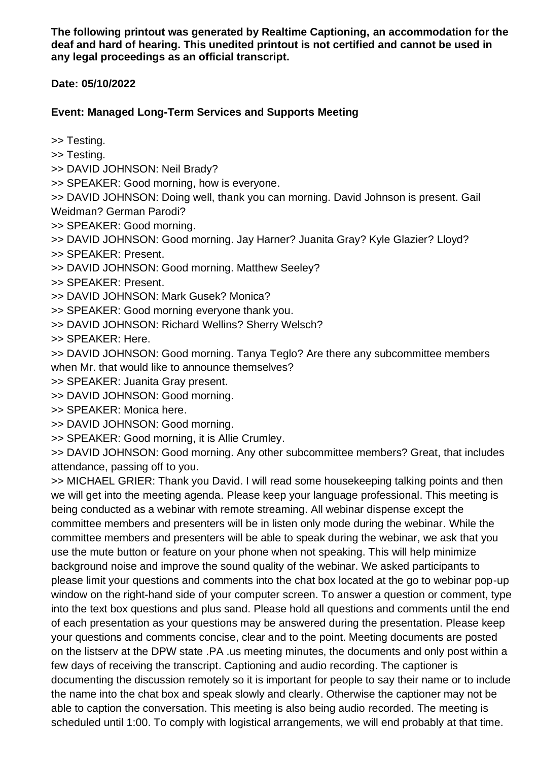**The following printout was generated by Realtime Captioning, an accommodation for the deaf and hard of hearing. This unedited printout is not certified and cannot be used in any legal proceedings as an official transcript.**

**Date: 05/10/2022**

## **Event: Managed Long-Term Services and Supports Meeting**

>> Testing.

>> Testing.

>> DAVID JOHNSON: Neil Brady?

>> SPEAKER: Good morning, how is everyone.

>> DAVID JOHNSON: Doing well, thank you can morning. David Johnson is present. Gail Weidman? German Parodi?

>> SPEAKER: Good morning.

>> DAVID JOHNSON: Good morning. Jay Harner? Juanita Gray? Kyle Glazier? Lloyd?

>> SPEAKER: Present.

>> DAVID JOHNSON: Good morning. Matthew Seeley?

>> SPEAKER: Present.

>> DAVID JOHNSON: Mark Gusek? Monica?

>> SPEAKER: Good morning everyone thank you.

>> DAVID JOHNSON: Richard Wellins? Sherry Welsch?

>> SPEAKER: Here.

>> DAVID JOHNSON: Good morning. Tanya Teglo? Are there any subcommittee members when Mr. that would like to announce themselves?

>> SPEAKER: Juanita Gray present.

>> DAVID JOHNSON: Good morning.

>> SPEAKER: Monica here.

>> DAVID JOHNSON: Good morning.

>> SPEAKER: Good morning, it is Allie Crumley.

>> DAVID JOHNSON: Good morning. Any other subcommittee members? Great, that includes attendance, passing off to you.

>> MICHAEL GRIER: Thank you David. I will read some housekeeping talking points and then we will get into the meeting agenda. Please keep your language professional. This meeting is being conducted as a webinar with remote streaming. All webinar dispense except the committee members and presenters will be in listen only mode during the webinar. While the committee members and presenters will be able to speak during the webinar, we ask that you use the mute button or feature on your phone when not speaking. This will help minimize background noise and improve the sound quality of the webinar. We asked participants to please limit your questions and comments into the chat box located at the go to webinar pop-up window on the right-hand side of your computer screen. To answer a question or comment, type into the text box questions and plus sand. Please hold all questions and comments until the end of each presentation as your questions may be answered during the presentation. Please keep your questions and comments concise, clear and to the point. Meeting documents are posted on the listserv at the DPW state .PA .us meeting minutes, the documents and only post within a few days of receiving the transcript. Captioning and audio recording. The captioner is documenting the discussion remotely so it is important for people to say their name or to include the name into the chat box and speak slowly and clearly. Otherwise the captioner may not be able to caption the conversation. This meeting is also being audio recorded. The meeting is scheduled until 1:00. To comply with logistical arrangements, we will end probably at that time.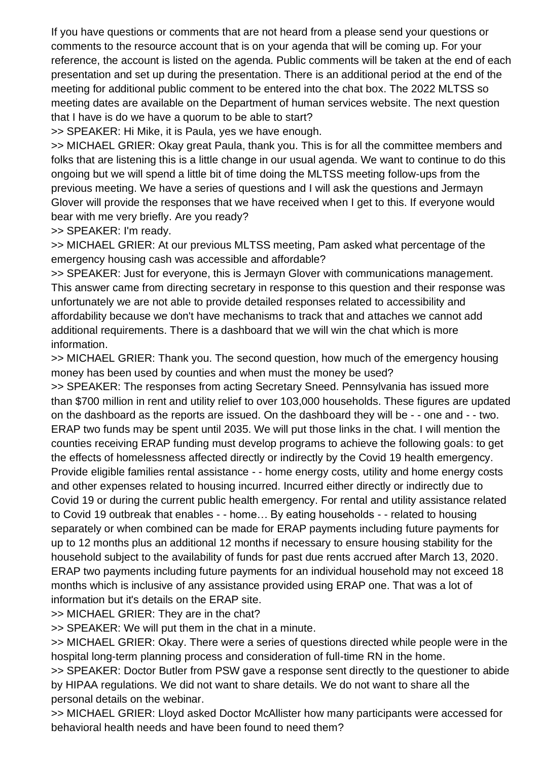If you have questions or comments that are not heard from a please send your questions or comments to the resource account that is on your agenda that will be coming up. For your reference, the account is listed on the agenda. Public comments will be taken at the end of each presentation and set up during the presentation. There is an additional period at the end of the meeting for additional public comment to be entered into the chat box. The 2022 MLTSS so meeting dates are available on the Department of human services website. The next question that I have is do we have a quorum to be able to start?

>> SPEAKER: Hi Mike, it is Paula, yes we have enough.

>> MICHAEL GRIER: Okay great Paula, thank you. This is for all the committee members and folks that are listening this is a little change in our usual agenda. We want to continue to do this ongoing but we will spend a little bit of time doing the MLTSS meeting follow-ups from the previous meeting. We have a series of questions and I will ask the questions and Jermayn Glover will provide the responses that we have received when I get to this. If everyone would bear with me very briefly. Are you ready?

>> SPEAKER: I'm ready.

>> MICHAEL GRIER: At our previous MLTSS meeting, Pam asked what percentage of the emergency housing cash was accessible and affordable?

>> SPEAKER: Just for everyone, this is Jermayn Glover with communications management. This answer came from directing secretary in response to this question and their response was unfortunately we are not able to provide detailed responses related to accessibility and affordability because we don't have mechanisms to track that and attaches we cannot add additional requirements. There is a dashboard that we will win the chat which is more information.

>> MICHAEL GRIER: Thank you. The second question, how much of the emergency housing money has been used by counties and when must the money be used?

>> SPEAKER: The responses from acting Secretary Sneed. Pennsylvania has issued more than \$700 million in rent and utility relief to over 103,000 households. These figures are updated on the dashboard as the reports are issued. On the dashboard they will be - - one and - - two. ERAP two funds may be spent until 2035. We will put those links in the chat. I will mention the counties receiving ERAP funding must develop programs to achieve the following goals: to get the effects of homelessness affected directly or indirectly by the Covid 19 health emergency. Provide eligible families rental assistance - - home energy costs, utility and home energy costs and other expenses related to housing incurred. Incurred either directly or indirectly due to Covid 19 or during the current public health emergency. For rental and utility assistance related to Covid 19 outbreak that enables - - home… By eating households - - related to housing separately or when combined can be made for ERAP payments including future payments for up to 12 months plus an additional 12 months if necessary to ensure housing stability for the household subject to the availability of funds for past due rents accrued after March 13, 2020. ERAP two payments including future payments for an individual household may not exceed 18 months which is inclusive of any assistance provided using ERAP one. That was a lot of information but it's details on the ERAP site.

>> MICHAEL GRIER: They are in the chat?

>> SPEAKER: We will put them in the chat in a minute.

>> MICHAEL GRIER: Okay. There were a series of questions directed while people were in the hospital long-term planning process and consideration of full-time RN in the home.

>> SPEAKER: Doctor Butler from PSW gave a response sent directly to the questioner to abide by HIPAA regulations. We did not want to share details. We do not want to share all the personal details on the webinar.

>> MICHAEL GRIER: Lloyd asked Doctor McAllister how many participants were accessed for behavioral health needs and have been found to need them?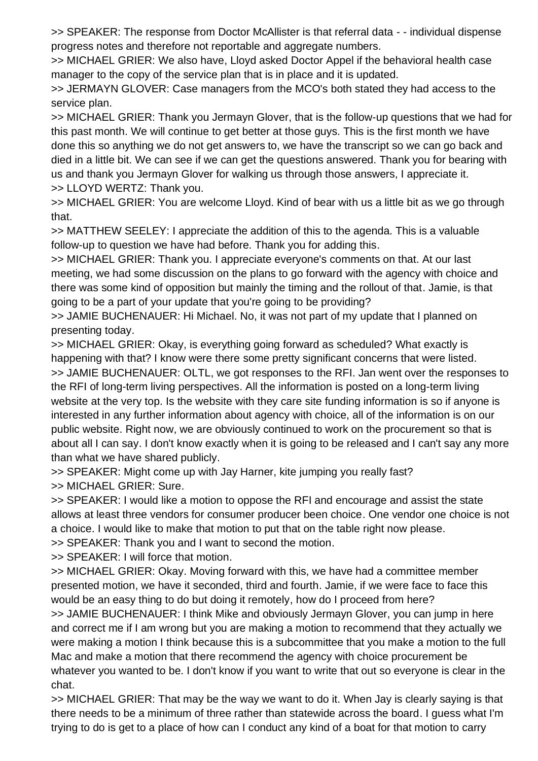>> SPEAKER: The response from Doctor McAllister is that referral data - - individual dispense progress notes and therefore not reportable and aggregate numbers.

>> MICHAEL GRIER: We also have, Lloyd asked Doctor Appel if the behavioral health case manager to the copy of the service plan that is in place and it is updated.

>> JERMAYN GLOVER: Case managers from the MCO's both stated they had access to the service plan.

>> MICHAEL GRIER: Thank you Jermayn Glover, that is the follow-up questions that we had for this past month. We will continue to get better at those guys. This is the first month we have done this so anything we do not get answers to, we have the transcript so we can go back and died in a little bit. We can see if we can get the questions answered. Thank you for bearing with us and thank you Jermayn Glover for walking us through those answers, I appreciate it. >> LLOYD WERTZ: Thank you.

>> MICHAEL GRIER: You are welcome Lloyd. Kind of bear with us a little bit as we go through that.

>> MATTHEW SEELEY: I appreciate the addition of this to the agenda. This is a valuable follow-up to question we have had before. Thank you for adding this.

>> MICHAEL GRIER: Thank you. I appreciate everyone's comments on that. At our last meeting, we had some discussion on the plans to go forward with the agency with choice and there was some kind of opposition but mainly the timing and the rollout of that. Jamie, is that going to be a part of your update that you're going to be providing?

>> JAMIE BUCHENAUER: Hi Michael. No, it was not part of my update that I planned on presenting today.

>> MICHAEL GRIER: Okay, is everything going forward as scheduled? What exactly is happening with that? I know were there some pretty significant concerns that were listed.

>> JAMIE BUCHENAUER: OLTL, we got responses to the RFI. Jan went over the responses to the RFI of long-term living perspectives. All the information is posted on a long-term living website at the very top. Is the website with they care site funding information is so if anyone is interested in any further information about agency with choice, all of the information is on our public website. Right now, we are obviously continued to work on the procurement so that is about all I can say. I don't know exactly when it is going to be released and I can't say any more than what we have shared publicly.

>> SPEAKER: Might come up with Jay Harner, kite jumping you really fast? >> MICHAEL GRIER: Sure.

>> SPEAKER: I would like a motion to oppose the RFI and encourage and assist the state allows at least three vendors for consumer producer been choice. One vendor one choice is not a choice. I would like to make that motion to put that on the table right now please.

>> SPEAKER: Thank you and I want to second the motion.

>> SPEAKER: I will force that motion.

>> MICHAEL GRIER: Okay. Moving forward with this, we have had a committee member presented motion, we have it seconded, third and fourth. Jamie, if we were face to face this would be an easy thing to do but doing it remotely, how do I proceed from here?

>> JAMIE BUCHENAUER: I think Mike and obviously Jermayn Glover, you can jump in here and correct me if I am wrong but you are making a motion to recommend that they actually we were making a motion I think because this is a subcommittee that you make a motion to the full Mac and make a motion that there recommend the agency with choice procurement be whatever you wanted to be. I don't know if you want to write that out so everyone is clear in the chat.

>> MICHAEL GRIER: That may be the way we want to do it. When Jay is clearly saying is that there needs to be a minimum of three rather than statewide across the board. I guess what I'm trying to do is get to a place of how can I conduct any kind of a boat for that motion to carry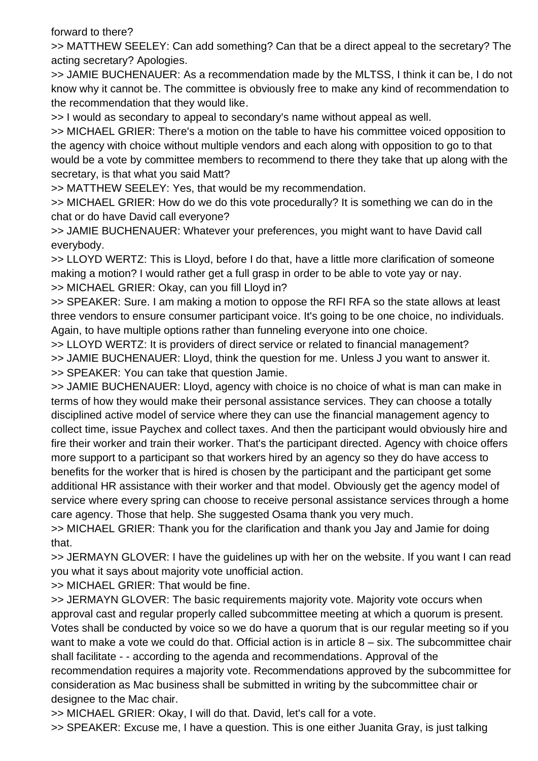forward to there?

>> MATTHEW SEELEY: Can add something? Can that be a direct appeal to the secretary? The acting secretary? Apologies.

>> JAMIE BUCHENAUER: As a recommendation made by the MLTSS, I think it can be, I do not know why it cannot be. The committee is obviously free to make any kind of recommendation to the recommendation that they would like.

>> I would as secondary to appeal to secondary's name without appeal as well.

>> MICHAEL GRIER: There's a motion on the table to have his committee voiced opposition to the agency with choice without multiple vendors and each along with opposition to go to that would be a vote by committee members to recommend to there they take that up along with the secretary, is that what you said Matt?

>> MATTHEW SEELEY: Yes, that would be my recommendation.

>> MICHAEL GRIER: How do we do this vote procedurally? It is something we can do in the chat or do have David call everyone?

>> JAMIE BUCHENAUER: Whatever your preferences, you might want to have David call everybody.

>> LLOYD WERTZ: This is Lloyd, before I do that, have a little more clarification of someone making a motion? I would rather get a full grasp in order to be able to vote yay or nay. >> MICHAEL GRIER: Okay, can you fill Lloyd in?

>> SPEAKER: Sure. I am making a motion to oppose the RFI RFA so the state allows at least three vendors to ensure consumer participant voice. It's going to be one choice, no individuals. Again, to have multiple options rather than funneling everyone into one choice.

>> LLOYD WERTZ: It is providers of direct service or related to financial management? >> JAMIE BUCHENAUER: Lloyd, think the question for me. Unless J you want to answer it. >> SPEAKER: You can take that question Jamie.

>> JAMIE BUCHENAUER: Lloyd, agency with choice is no choice of what is man can make in terms of how they would make their personal assistance services. They can choose a totally disciplined active model of service where they can use the financial management agency to collect time, issue Paychex and collect taxes. And then the participant would obviously hire and fire their worker and train their worker. That's the participant directed. Agency with choice offers more support to a participant so that workers hired by an agency so they do have access to benefits for the worker that is hired is chosen by the participant and the participant get some additional HR assistance with their worker and that model. Obviously get the agency model of service where every spring can choose to receive personal assistance services through a home care agency. Those that help. She suggested Osama thank you very much.

>> MICHAEL GRIER: Thank you for the clarification and thank you Jay and Jamie for doing that.

>> JERMAYN GLOVER: I have the guidelines up with her on the website. If you want I can read you what it says about majority vote unofficial action.

>> MICHAEL GRIER: That would be fine.

>> JERMAYN GLOVER: The basic requirements majority vote. Majority vote occurs when approval cast and regular properly called subcommittee meeting at which a quorum is present. Votes shall be conducted by voice so we do have a quorum that is our regular meeting so if you want to make a vote we could do that. Official action is in article 8 – six. The subcommittee chair shall facilitate - - according to the agenda and recommendations. Approval of the recommendation requires a majority vote. Recommendations approved by the subcommittee for consideration as Mac business shall be submitted in writing by the subcommittee chair or designee to the Mac chair.

>> MICHAEL GRIER: Okay, I will do that. David, let's call for a vote.

>> SPEAKER: Excuse me, I have a question. This is one either Juanita Gray, is just talking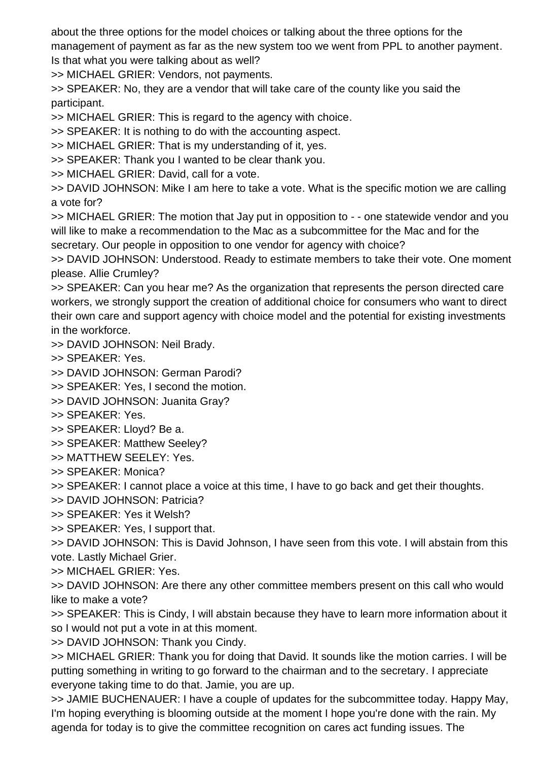about the three options for the model choices or talking about the three options for the management of payment as far as the new system too we went from PPL to another payment. Is that what you were talking about as well?

>> MICHAEL GRIER: Vendors, not payments.

>> SPEAKER: No, they are a vendor that will take care of the county like you said the participant.

>> MICHAEL GRIER: This is regard to the agency with choice.

>> SPEAKER: It is nothing to do with the accounting aspect.

>> MICHAEL GRIER: That is my understanding of it, yes.

>> SPEAKER: Thank you I wanted to be clear thank you.

>> MICHAEL GRIER: David, call for a vote.

>> DAVID JOHNSON: Mike I am here to take a vote. What is the specific motion we are calling a vote for?

>> MICHAEL GRIER: The motion that Jay put in opposition to - - one statewide vendor and you will like to make a recommendation to the Mac as a subcommittee for the Mac and for the secretary. Our people in opposition to one vendor for agency with choice?

>> DAVID JOHNSON: Understood. Ready to estimate members to take their vote. One moment please. Allie Crumley?

>> SPEAKER: Can you hear me? As the organization that represents the person directed care workers, we strongly support the creation of additional choice for consumers who want to direct their own care and support agency with choice model and the potential for existing investments in the workforce.

>> DAVID JOHNSON: Neil Brady.

>> SPEAKER: Yes.

>> DAVID JOHNSON: German Parodi?

>> SPEAKER: Yes, I second the motion.

>> DAVID JOHNSON: Juanita Gray?

>> SPEAKER: Yes.

>> SPEAKER: Lloyd? Be a.

>> SPEAKER: Matthew Seeley?

>> MATTHEW SEELEY: Yes.

>> SPEAKER: Monica?

>> SPEAKER: I cannot place a voice at this time, I have to go back and get their thoughts.

>> DAVID JOHNSON: Patricia?

>> SPEAKER: Yes it Welsh?

>> SPEAKER: Yes, I support that.

>> DAVID JOHNSON: This is David Johnson, I have seen from this vote. I will abstain from this vote. Lastly Michael Grier.

>> MICHAEL GRIER: Yes.

>> DAVID JOHNSON: Are there any other committee members present on this call who would like to make a vote?

>> SPEAKER: This is Cindy, I will abstain because they have to learn more information about it so I would not put a vote in at this moment.

>> DAVID JOHNSON: Thank you Cindy.

>> MICHAEL GRIER: Thank you for doing that David. It sounds like the motion carries. I will be putting something in writing to go forward to the chairman and to the secretary. I appreciate everyone taking time to do that. Jamie, you are up.

>> JAMIE BUCHENAUER: I have a couple of updates for the subcommittee today. Happy May, I'm hoping everything is blooming outside at the moment I hope you're done with the rain. My agenda for today is to give the committee recognition on cares act funding issues. The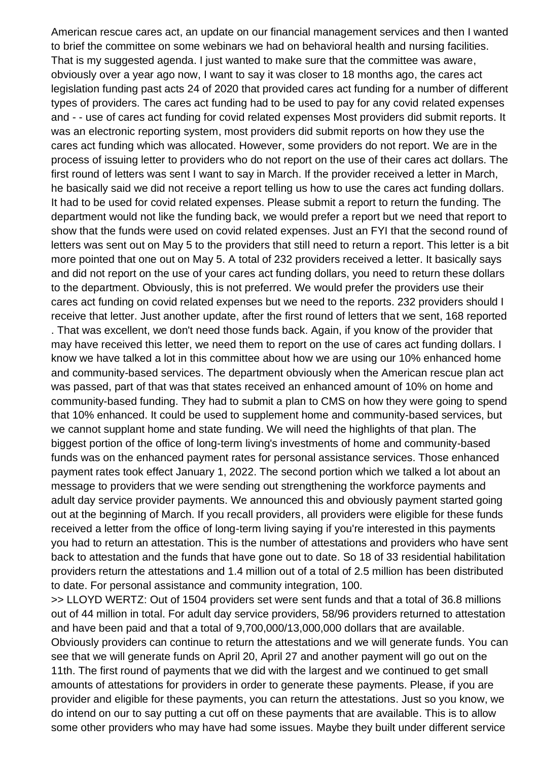American rescue cares act, an update on our financial management services and then I wanted to brief the committee on some webinars we had on behavioral health and nursing facilities. That is my suggested agenda. I just wanted to make sure that the committee was aware, obviously over a year ago now, I want to say it was closer to 18 months ago, the cares act legislation funding past acts 24 of 2020 that provided cares act funding for a number of different types of providers. The cares act funding had to be used to pay for any covid related expenses and - - use of cares act funding for covid related expenses Most providers did submit reports. It was an electronic reporting system, most providers did submit reports on how they use the cares act funding which was allocated. However, some providers do not report. We are in the process of issuing letter to providers who do not report on the use of their cares act dollars. The first round of letters was sent I want to say in March. If the provider received a letter in March, he basically said we did not receive a report telling us how to use the cares act funding dollars. It had to be used for covid related expenses. Please submit a report to return the funding. The department would not like the funding back, we would prefer a report but we need that report to show that the funds were used on covid related expenses. Just an FYI that the second round of letters was sent out on May 5 to the providers that still need to return a report. This letter is a bit more pointed that one out on May 5. A total of 232 providers received a letter. It basically says and did not report on the use of your cares act funding dollars, you need to return these dollars to the department. Obviously, this is not preferred. We would prefer the providers use their cares act funding on covid related expenses but we need to the reports. 232 providers should I receive that letter. Just another update, after the first round of letters that we sent, 168 reported . That was excellent, we don't need those funds back. Again, if you know of the provider that may have received this letter, we need them to report on the use of cares act funding dollars. I know we have talked a lot in this committee about how we are using our 10% enhanced home and community-based services. The department obviously when the American rescue plan act was passed, part of that was that states received an enhanced amount of 10% on home and community-based funding. They had to submit a plan to CMS on how they were going to spend that 10% enhanced. It could be used to supplement home and community-based services, but we cannot supplant home and state funding. We will need the highlights of that plan. The biggest portion of the office of long-term living's investments of home and community-based funds was on the enhanced payment rates for personal assistance services. Those enhanced payment rates took effect January 1, 2022. The second portion which we talked a lot about an message to providers that we were sending out strengthening the workforce payments and adult day service provider payments. We announced this and obviously payment started going out at the beginning of March. If you recall providers, all providers were eligible for these funds received a letter from the office of long-term living saying if you're interested in this payments you had to return an attestation. This is the number of attestations and providers who have sent back to attestation and the funds that have gone out to date. So 18 of 33 residential habilitation providers return the attestations and 1.4 million out of a total of 2.5 million has been distributed to date. For personal assistance and community integration, 100. >> LLOYD WERTZ: Out of 1504 providers set were sent funds and that a total of 36.8 millions out of 44 million in total. For adult day service providers, 58/96 providers returned to attestation and have been paid and that a total of 9,700,000/13,000,000 dollars that are available.

Obviously providers can continue to return the attestations and we will generate funds. You can see that we will generate funds on April 20, April 27 and another payment will go out on the 11th. The first round of payments that we did with the largest and we continued to get small amounts of attestations for providers in order to generate these payments. Please, if you are provider and eligible for these payments, you can return the attestations. Just so you know, we do intend on our to say putting a cut off on these payments that are available. This is to allow some other providers who may have had some issues. Maybe they built under different service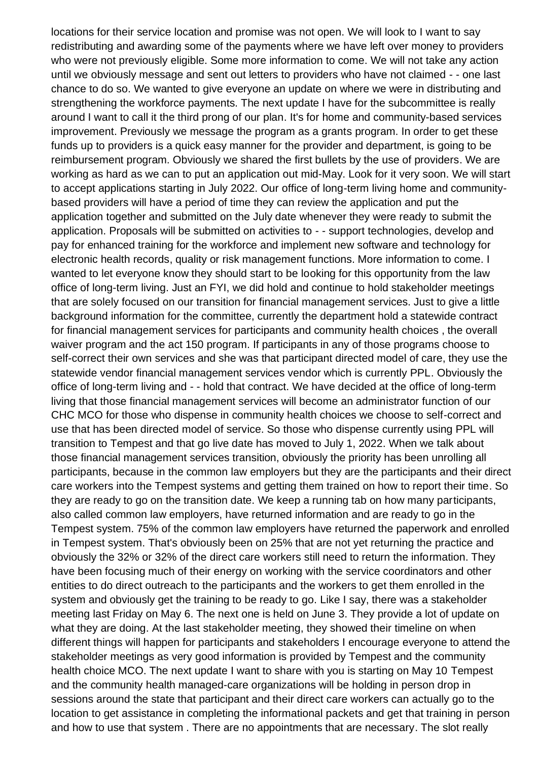locations for their service location and promise was not open. We will look to I want to say redistributing and awarding some of the payments where we have left over money to providers who were not previously eligible. Some more information to come. We will not take any action until we obviously message and sent out letters to providers who have not claimed - - one last chance to do so. We wanted to give everyone an update on where we were in distributing and strengthening the workforce payments. The next update I have for the subcommittee is really around I want to call it the third prong of our plan. It's for home and community-based services improvement. Previously we message the program as a grants program. In order to get these funds up to providers is a quick easy manner for the provider and department, is going to be reimbursement program. Obviously we shared the first bullets by the use of providers. We are working as hard as we can to put an application out mid-May. Look for it very soon. We will start to accept applications starting in July 2022. Our office of long-term living home and communitybased providers will have a period of time they can review the application and put the application together and submitted on the July date whenever they were ready to submit the application. Proposals will be submitted on activities to - - support technologies, develop and pay for enhanced training for the workforce and implement new software and technology for electronic health records, quality or risk management functions. More information to come. I wanted to let everyone know they should start to be looking for this opportunity from the law office of long-term living. Just an FYI, we did hold and continue to hold stakeholder meetings that are solely focused on our transition for financial management services. Just to give a little background information for the committee, currently the department hold a statewide contract for financial management services for participants and community health choices , the overall waiver program and the act 150 program. If participants in any of those programs choose to self-correct their own services and she was that participant directed model of care, they use the statewide vendor financial management services vendor which is currently PPL. Obviously the office of long-term living and - - hold that contract. We have decided at the office of long-term living that those financial management services will become an administrator function of our CHC MCO for those who dispense in community health choices we choose to self-correct and use that has been directed model of service. So those who dispense currently using PPL will transition to Tempest and that go live date has moved to July 1, 2022. When we talk about those financial management services transition, obviously the priority has been unrolling all participants, because in the common law employers but they are the participants and their direct care workers into the Tempest systems and getting them trained on how to report their time. So they are ready to go on the transition date. We keep a running tab on how many participants, also called common law employers, have returned information and are ready to go in the Tempest system. 75% of the common law employers have returned the paperwork and enrolled in Tempest system. That's obviously been on 25% that are not yet returning the practice and obviously the 32% or 32% of the direct care workers still need to return the information. They have been focusing much of their energy on working with the service coordinators and other entities to do direct outreach to the participants and the workers to get them enrolled in the system and obviously get the training to be ready to go. Like I say, there was a stakeholder meeting last Friday on May 6. The next one is held on June 3. They provide a lot of update on what they are doing. At the last stakeholder meeting, they showed their timeline on when different things will happen for participants and stakeholders I encourage everyone to attend the stakeholder meetings as very good information is provided by Tempest and the community health choice MCO. The next update I want to share with you is starting on May 10 Tempest and the community health managed-care organizations will be holding in person drop in sessions around the state that participant and their direct care workers can actually go to the location to get assistance in completing the informational packets and get that training in person and how to use that system . There are no appointments that are necessary. The slot really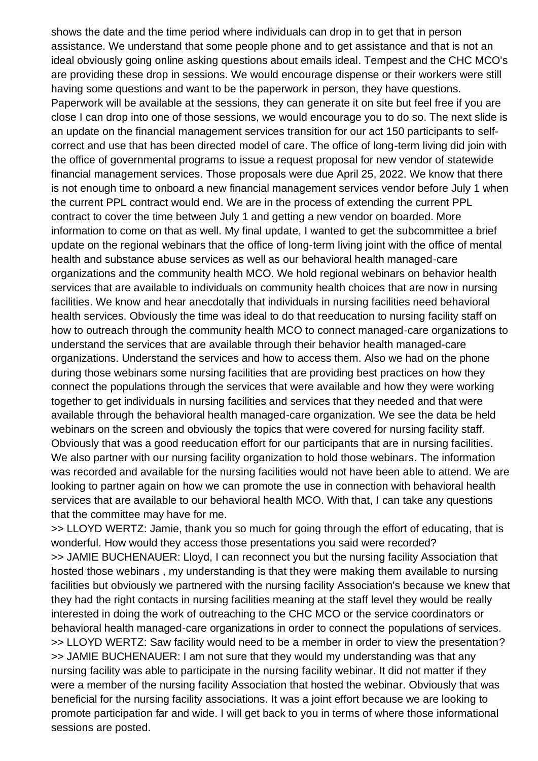shows the date and the time period where individuals can drop in to get that in person assistance. We understand that some people phone and to get assistance and that is not an ideal obviously going online asking questions about emails ideal. Tempest and the CHC MCO's are providing these drop in sessions. We would encourage dispense or their workers were still having some questions and want to be the paperwork in person, they have questions. Paperwork will be available at the sessions, they can generate it on site but feel free if you are close I can drop into one of those sessions, we would encourage you to do so. The next slide is an update on the financial management services transition for our act 150 participants to selfcorrect and use that has been directed model of care. The office of long-term living did join with the office of governmental programs to issue a request proposal for new vendor of statewide financial management services. Those proposals were due April 25, 2022. We know that there is not enough time to onboard a new financial management services vendor before July 1 when the current PPL contract would end. We are in the process of extending the current PPL contract to cover the time between July 1 and getting a new vendor on boarded. More information to come on that as well. My final update, I wanted to get the subcommittee a brief update on the regional webinars that the office of long-term living joint with the office of mental health and substance abuse services as well as our behavioral health managed-care organizations and the community health MCO. We hold regional webinars on behavior health services that are available to individuals on community health choices that are now in nursing facilities. We know and hear anecdotally that individuals in nursing facilities need behavioral health services. Obviously the time was ideal to do that reeducation to nursing facility staff on how to outreach through the community health MCO to connect managed-care organizations to understand the services that are available through their behavior health managed-care organizations. Understand the services and how to access them. Also we had on the phone during those webinars some nursing facilities that are providing best practices on how they connect the populations through the services that were available and how they were working together to get individuals in nursing facilities and services that they needed and that were available through the behavioral health managed-care organization. We see the data be held webinars on the screen and obviously the topics that were covered for nursing facility staff. Obviously that was a good reeducation effort for our participants that are in nursing facilities. We also partner with our nursing facility organization to hold those webinars. The information was recorded and available for the nursing facilities would not have been able to attend. We are looking to partner again on how we can promote the use in connection with behavioral health services that are available to our behavioral health MCO. With that, I can take any questions that the committee may have for me.

>> LLOYD WERTZ: Jamie, thank you so much for going through the effort of educating, that is wonderful. How would they access those presentations you said were recorded? >> JAMIE BUCHENAUER: Lloyd, I can reconnect you but the nursing facility Association that hosted those webinars , my understanding is that they were making them available to nursing facilities but obviously we partnered with the nursing facility Association's because we knew that they had the right contacts in nursing facilities meaning at the staff level they would be really interested in doing the work of outreaching to the CHC MCO or the service coordinators or behavioral health managed-care organizations in order to connect the populations of services. >> LLOYD WERTZ: Saw facility would need to be a member in order to view the presentation? >> JAMIE BUCHENAUER: I am not sure that they would my understanding was that any nursing facility was able to participate in the nursing facility webinar. It did not matter if they were a member of the nursing facility Association that hosted the webinar. Obviously that was beneficial for the nursing facility associations. It was a joint effort because we are looking to promote participation far and wide. I will get back to you in terms of where those informational sessions are posted.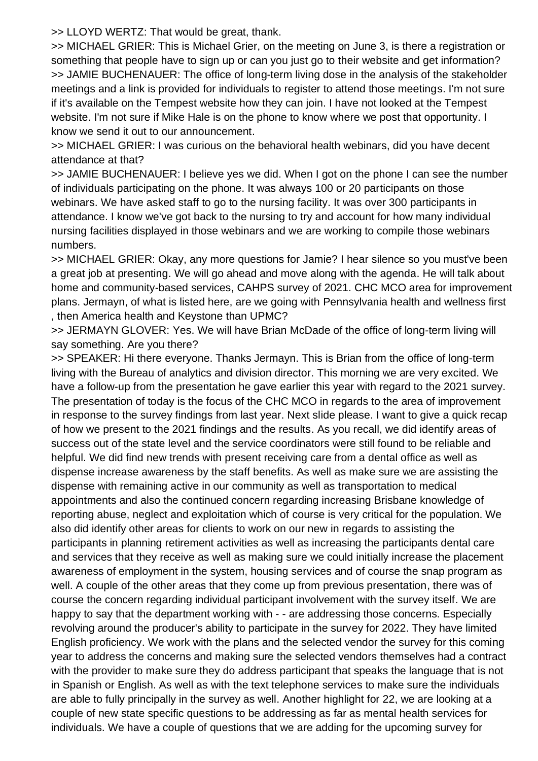>> LLOYD WERTZ: That would be great, thank.

>> MICHAEL GRIER: This is Michael Grier, on the meeting on June 3, is there a registration or something that people have to sign up or can you just go to their website and get information? >> JAMIE BUCHENAUER: The office of long-term living dose in the analysis of the stakeholder meetings and a link is provided for individuals to register to attend those meetings. I'm not sure if it's available on the Tempest website how they can join. I have not looked at the Tempest website. I'm not sure if Mike Hale is on the phone to know where we post that opportunity. I know we send it out to our announcement.

>> MICHAEL GRIER: I was curious on the behavioral health webinars, did you have decent attendance at that?

>> JAMIE BUCHENAUER: I believe yes we did. When I got on the phone I can see the number of individuals participating on the phone. It was always 100 or 20 participants on those webinars. We have asked staff to go to the nursing facility. It was over 300 participants in attendance. I know we've got back to the nursing to try and account for how many individual nursing facilities displayed in those webinars and we are working to compile those webinars numbers.

>> MICHAEL GRIER: Okay, any more questions for Jamie? I hear silence so you must've been a great job at presenting. We will go ahead and move along with the agenda. He will talk about home and community-based services, CAHPS survey of 2021. CHC MCO area for improvement plans. Jermayn, of what is listed here, are we going with Pennsylvania health and wellness first , then America health and Keystone than UPMC?

>> JERMAYN GLOVER: Yes. We will have Brian McDade of the office of long-term living will say something. Are you there?

>> SPEAKER: Hi there everyone. Thanks Jermayn. This is Brian from the office of long-term living with the Bureau of analytics and division director. This morning we are very excited. We have a follow-up from the presentation he gave earlier this year with regard to the 2021 survey. The presentation of today is the focus of the CHC MCO in regards to the area of improvement in response to the survey findings from last year. Next slide please. I want to give a quick recap of how we present to the 2021 findings and the results. As you recall, we did identify areas of success out of the state level and the service coordinators were still found to be reliable and helpful. We did find new trends with present receiving care from a dental office as well as dispense increase awareness by the staff benefits. As well as make sure we are assisting the dispense with remaining active in our community as well as transportation to medical appointments and also the continued concern regarding increasing Brisbane knowledge of reporting abuse, neglect and exploitation which of course is very critical for the population. We also did identify other areas for clients to work on our new in regards to assisting the participants in planning retirement activities as well as increasing the participants dental care and services that they receive as well as making sure we could initially increase the placement awareness of employment in the system, housing services and of course the snap program as well. A couple of the other areas that they come up from previous presentation, there was of course the concern regarding individual participant involvement with the survey itself. We are happy to say that the department working with - - are addressing those concerns. Especially revolving around the producer's ability to participate in the survey for 2022. They have limited English proficiency. We work with the plans and the selected vendor the survey for this coming year to address the concerns and making sure the selected vendors themselves had a contract with the provider to make sure they do address participant that speaks the language that is not in Spanish or English. As well as with the text telephone services to make sure the individuals are able to fully principally in the survey as well. Another highlight for 22, we are looking at a couple of new state specific questions to be addressing as far as mental health services for individuals. We have a couple of questions that we are adding for the upcoming survey for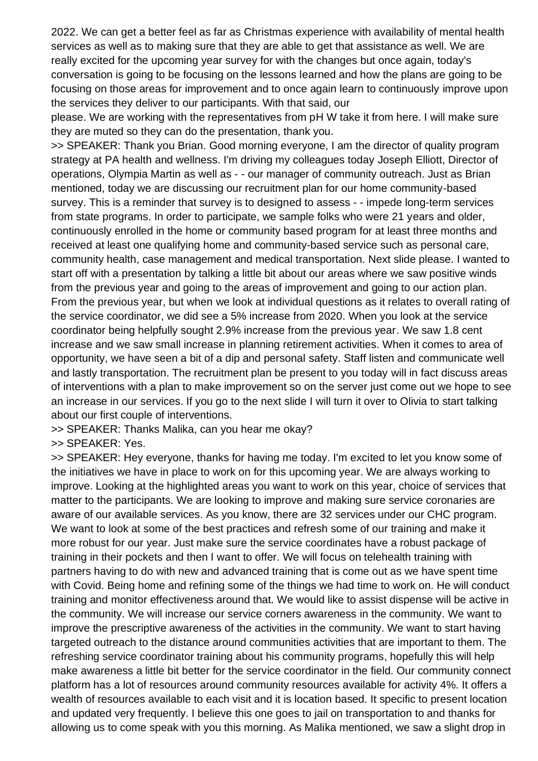2022. We can get a better feel as far as Christmas experience with availability of mental health services as well as to making sure that they are able to get that assistance as well. We are really excited for the upcoming year survey for with the changes but once again, today's conversation is going to be focusing on the lessons learned and how the plans are going to be focusing on those areas for improvement and to once again learn to continuously improve upon the services they deliver to our participants. With that said, our

please. We are working with the representatives from pH W take it from here. I will make sure they are muted so they can do the presentation, thank you.

>> SPEAKER: Thank you Brian. Good morning everyone, I am the director of quality program strategy at PA health and wellness. I'm driving my colleagues today Joseph Elliott, Director of operations, Olympia Martin as well as - - our manager of community outreach. Just as Brian mentioned, today we are discussing our recruitment plan for our home community-based survey. This is a reminder that survey is to designed to assess - - impede long-term services from state programs. In order to participate, we sample folks who were 21 years and older, continuously enrolled in the home or community based program for at least three months and received at least one qualifying home and community-based service such as personal care, community health, case management and medical transportation. Next slide please. I wanted to start off with a presentation by talking a little bit about our areas where we saw positive winds from the previous year and going to the areas of improvement and going to our action plan. From the previous year, but when we look at individual questions as it relates to overall rating of the service coordinator, we did see a 5% increase from 2020. When you look at the service coordinator being helpfully sought 2.9% increase from the previous year. We saw 1.8 cent increase and we saw small increase in planning retirement activities. When it comes to area of opportunity, we have seen a bit of a dip and personal safety. Staff listen and communicate well and lastly transportation. The recruitment plan be present to you today will in fact discuss areas of interventions with a plan to make improvement so on the server just come out we hope to see an increase in our services. If you go to the next slide I will turn it over to Olivia to start talking about our first couple of interventions.

>> SPEAKER: Thanks Malika, can you hear me okay?

>> SPEAKER: Yes.

>> SPEAKER: Hey everyone, thanks for having me today. I'm excited to let you know some of the initiatives we have in place to work on for this upcoming year. We are always working to improve. Looking at the highlighted areas you want to work on this year, choice of services that matter to the participants. We are looking to improve and making sure service coronaries are aware of our available services. As you know, there are 32 services under our CHC program. We want to look at some of the best practices and refresh some of our training and make it more robust for our year. Just make sure the service coordinates have a robust package of training in their pockets and then I want to offer. We will focus on telehealth training with partners having to do with new and advanced training that is come out as we have spent time with Covid. Being home and refining some of the things we had time to work on. He will conduct training and monitor effectiveness around that. We would like to assist dispense will be active in the community. We will increase our service corners awareness in the community. We want to improve the prescriptive awareness of the activities in the community. We want to start having targeted outreach to the distance around communities activities that are important to them. The refreshing service coordinator training about his community programs, hopefully this will help make awareness a little bit better for the service coordinator in the field. Our community connect platform has a lot of resources around community resources available for activity 4%. It offers a wealth of resources available to each visit and it is location based. It specific to present location and updated very frequently. I believe this one goes to jail on transportation to and thanks for allowing us to come speak with you this morning. As Malika mentioned, we saw a slight drop in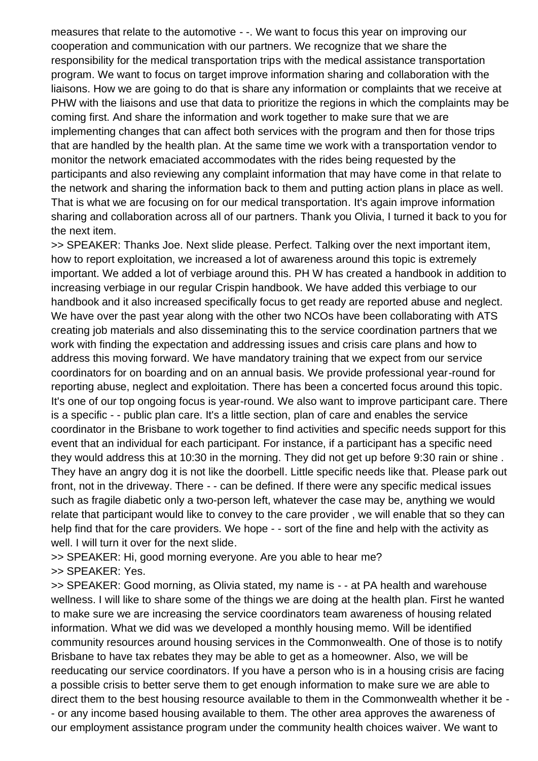measures that relate to the automotive - -. We want to focus this year on improving our cooperation and communication with our partners. We recognize that we share the responsibility for the medical transportation trips with the medical assistance transportation program. We want to focus on target improve information sharing and collaboration with the liaisons. How we are going to do that is share any information or complaints that we receive at PHW with the liaisons and use that data to prioritize the regions in which the complaints may be coming first. And share the information and work together to make sure that we are implementing changes that can affect both services with the program and then for those trips that are handled by the health plan. At the same time we work with a transportation vendor to monitor the network emaciated accommodates with the rides being requested by the participants and also reviewing any complaint information that may have come in that relate to the network and sharing the information back to them and putting action plans in place as well. That is what we are focusing on for our medical transportation. It's again improve information sharing and collaboration across all of our partners. Thank you Olivia, I turned it back to you for the next item.

>> SPEAKER: Thanks Joe. Next slide please. Perfect. Talking over the next important item, how to report exploitation, we increased a lot of awareness around this topic is extremely important. We added a lot of verbiage around this. PH W has created a handbook in addition to increasing verbiage in our regular Crispin handbook. We have added this verbiage to our handbook and it also increased specifically focus to get ready are reported abuse and neglect. We have over the past year along with the other two NCOs have been collaborating with ATS creating job materials and also disseminating this to the service coordination partners that we work with finding the expectation and addressing issues and crisis care plans and how to address this moving forward. We have mandatory training that we expect from our service coordinators for on boarding and on an annual basis. We provide professional year-round for reporting abuse, neglect and exploitation. There has been a concerted focus around this topic. It's one of our top ongoing focus is year-round. We also want to improve participant care. There is a specific - - public plan care. It's a little section, plan of care and enables the service coordinator in the Brisbane to work together to find activities and specific needs support for this event that an individual for each participant. For instance, if a participant has a specific need they would address this at 10:30 in the morning. They did not get up before 9:30 rain or shine . They have an angry dog it is not like the doorbell. Little specific needs like that. Please park out front, not in the driveway. There - - can be defined. If there were any specific medical issues such as fragile diabetic only a two-person left, whatever the case may be, anything we would relate that participant would like to convey to the care provider , we will enable that so they can help find that for the care providers. We hope - - sort of the fine and help with the activity as well. I will turn it over for the next slide.

>> SPEAKER: Hi, good morning everyone. Are you able to hear me? >> SPEAKER: Yes.

>> SPEAKER: Good morning, as Olivia stated, my name is - - at PA health and warehouse wellness. I will like to share some of the things we are doing at the health plan. First he wanted to make sure we are increasing the service coordinators team awareness of housing related information. What we did was we developed a monthly housing memo. Will be identified community resources around housing services in the Commonwealth. One of those is to notify Brisbane to have tax rebates they may be able to get as a homeowner. Also, we will be reeducating our service coordinators. If you have a person who is in a housing crisis are facing a possible crisis to better serve them to get enough information to make sure we are able to direct them to the best housing resource available to them in the Commonwealth whether it be - - or any income based housing available to them. The other area approves the awareness of our employment assistance program under the community health choices waiver. We want to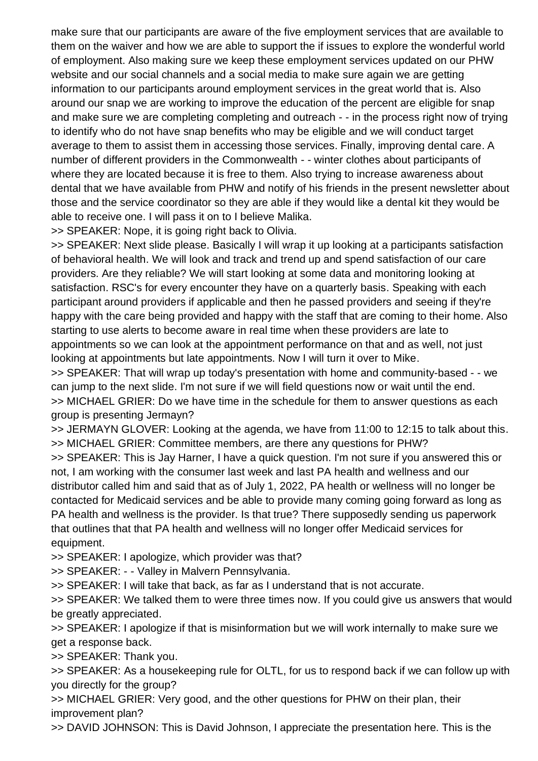make sure that our participants are aware of the five employment services that are available to them on the waiver and how we are able to support the if issues to explore the wonderful world of employment. Also making sure we keep these employment services updated on our PHW website and our social channels and a social media to make sure again we are getting information to our participants around employment services in the great world that is. Also around our snap we are working to improve the education of the percent are eligible for snap and make sure we are completing completing and outreach - - in the process right now of trying to identify who do not have snap benefits who may be eligible and we will conduct target average to them to assist them in accessing those services. Finally, improving dental care. A number of different providers in the Commonwealth - - winter clothes about participants of where they are located because it is free to them. Also trying to increase awareness about dental that we have available from PHW and notify of his friends in the present newsletter about those and the service coordinator so they are able if they would like a dental kit they would be able to receive one. I will pass it on to I believe Malika.

>> SPEAKER: Nope, it is going right back to Olivia.

>> SPEAKER: Next slide please. Basically I will wrap it up looking at a participants satisfaction of behavioral health. We will look and track and trend up and spend satisfaction of our care providers. Are they reliable? We will start looking at some data and monitoring looking at satisfaction. RSC's for every encounter they have on a quarterly basis. Speaking with each participant around providers if applicable and then he passed providers and seeing if they're happy with the care being provided and happy with the staff that are coming to their home. Also starting to use alerts to become aware in real time when these providers are late to appointments so we can look at the appointment performance on that and as well, not just looking at appointments but late appointments. Now I will turn it over to Mike.

>> SPEAKER: That will wrap up today's presentation with home and community-based - - we can jump to the next slide. I'm not sure if we will field questions now or wait until the end. >> MICHAEL GRIER: Do we have time in the schedule for them to answer questions as each group is presenting Jermayn?

>> JERMAYN GLOVER: Looking at the agenda, we have from 11:00 to 12:15 to talk about this. >> MICHAEL GRIER: Committee members, are there any questions for PHW?

>> SPEAKER: This is Jay Harner, I have a quick question. I'm not sure if you answered this or not, I am working with the consumer last week and last PA health and wellness and our distributor called him and said that as of July 1, 2022, PA health or wellness will no longer be contacted for Medicaid services and be able to provide many coming going forward as long as PA health and wellness is the provider. Is that true? There supposedly sending us paperwork that outlines that that PA health and wellness will no longer offer Medicaid services for equipment.

>> SPEAKER: I apologize, which provider was that?

>> SPEAKER: - - Valley in Malvern Pennsylvania.

>> SPEAKER: I will take that back, as far as I understand that is not accurate.

>> SPEAKER: We talked them to were three times now. If you could give us answers that would be greatly appreciated.

>> SPEAKER: I apologize if that is misinformation but we will work internally to make sure we get a response back.

>> SPEAKER: Thank you.

>> SPEAKER: As a housekeeping rule for OLTL, for us to respond back if we can follow up with you directly for the group?

>> MICHAEL GRIER: Very good, and the other questions for PHW on their plan, their improvement plan?

>> DAVID JOHNSON: This is David Johnson, I appreciate the presentation here. This is the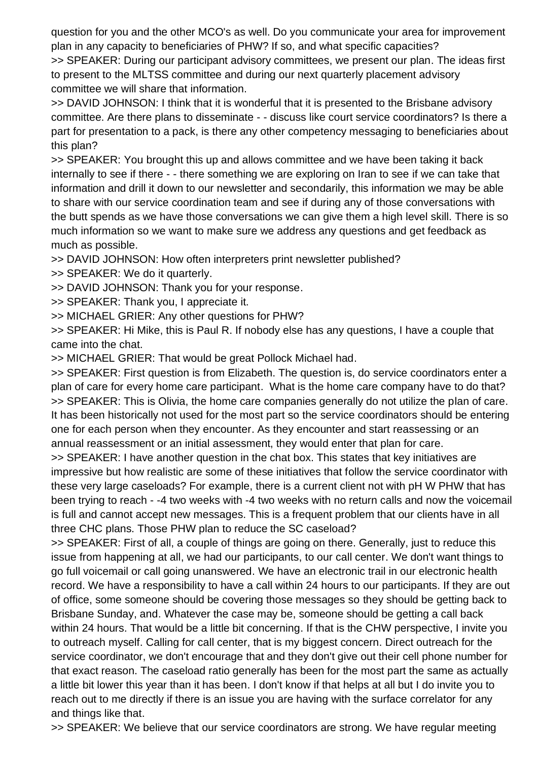question for you and the other MCO's as well. Do you communicate your area for improvement plan in any capacity to beneficiaries of PHW? If so, and what specific capacities?

>> SPEAKER: During our participant advisory committees, we present our plan. The ideas first to present to the MLTSS committee and during our next quarterly placement advisory committee we will share that information.

>> DAVID JOHNSON: I think that it is wonderful that it is presented to the Brisbane advisory committee. Are there plans to disseminate - - discuss like court service coordinators? Is there a part for presentation to a pack, is there any other competency messaging to beneficiaries about this plan?

>> SPEAKER: You brought this up and allows committee and we have been taking it back internally to see if there - - there something we are exploring on Iran to see if we can take that information and drill it down to our newsletter and secondarily, this information we may be able to share with our service coordination team and see if during any of those conversations with the butt spends as we have those conversations we can give them a high level skill. There is so much information so we want to make sure we address any questions and get feedback as much as possible.

>> DAVID JOHNSON: How often interpreters print newsletter published?

>> SPEAKER: We do it quarterly.

>> DAVID JOHNSON: Thank you for your response.

>> SPEAKER: Thank you, I appreciate it.

>> MICHAEL GRIER: Any other questions for PHW?

>> SPEAKER: Hi Mike, this is Paul R. If nobody else has any questions, I have a couple that came into the chat.

>> MICHAEL GRIER: That would be great Pollock Michael had.

>> SPEAKER: First question is from Elizabeth. The question is, do service coordinators enter a plan of care for every home care participant. What is the home care company have to do that? >> SPEAKER: This is Olivia, the home care companies generally do not utilize the plan of care. It has been historically not used for the most part so the service coordinators should be entering one for each person when they encounter. As they encounter and start reassessing or an annual reassessment or an initial assessment, they would enter that plan for care.

>> SPEAKER: I have another question in the chat box. This states that key initiatives are impressive but how realistic are some of these initiatives that follow the service coordinator with these very large caseloads? For example, there is a current client not with pH W PHW that has been trying to reach - -4 two weeks with -4 two weeks with no return calls and now the voicemail is full and cannot accept new messages. This is a frequent problem that our clients have in all three CHC plans. Those PHW plan to reduce the SC caseload?

>> SPEAKER: First of all, a couple of things are going on there. Generally, just to reduce this issue from happening at all, we had our participants, to our call center. We don't want things to go full voicemail or call going unanswered. We have an electronic trail in our electronic health record. We have a responsibility to have a call within 24 hours to our participants. If they are out of office, some someone should be covering those messages so they should be getting back to Brisbane Sunday, and. Whatever the case may be, someone should be getting a call back within 24 hours. That would be a little bit concerning. If that is the CHW perspective, I invite you to outreach myself. Calling for call center, that is my biggest concern. Direct outreach for the service coordinator, we don't encourage that and they don't give out their cell phone number for that exact reason. The caseload ratio generally has been for the most part the same as actually a little bit lower this year than it has been. I don't know if that helps at all but I do invite you to reach out to me directly if there is an issue you are having with the surface correlator for any and things like that.

>> SPEAKER: We believe that our service coordinators are strong. We have regular meeting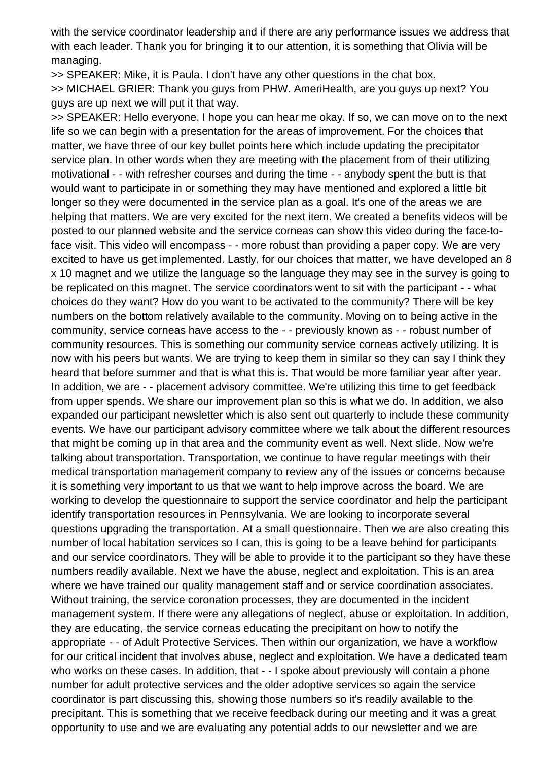with the service coordinator leadership and if there are any performance issues we address that with each leader. Thank you for bringing it to our attention, it is something that Olivia will be managing.

>> SPEAKER: Mike, it is Paula. I don't have any other questions in the chat box. >> MICHAEL GRIER: Thank you guys from PHW. AmeriHealth, are you guys up next? You guys are up next we will put it that way.

>> SPEAKER: Hello everyone, I hope you can hear me okay. If so, we can move on to the next life so we can begin with a presentation for the areas of improvement. For the choices that matter, we have three of our key bullet points here which include updating the precipitator service plan. In other words when they are meeting with the placement from of their utilizing motivational - - with refresher courses and during the time - - anybody spent the butt is that would want to participate in or something they may have mentioned and explored a little bit longer so they were documented in the service plan as a goal. It's one of the areas we are helping that matters. We are very excited for the next item. We created a benefits videos will be posted to our planned website and the service corneas can show this video during the face-toface visit. This video will encompass - - more robust than providing a paper copy. We are very excited to have us get implemented. Lastly, for our choices that matter, we have developed an 8 x 10 magnet and we utilize the language so the language they may see in the survey is going to be replicated on this magnet. The service coordinators went to sit with the participant - - what choices do they want? How do you want to be activated to the community? There will be key numbers on the bottom relatively available to the community. Moving on to being active in the community, service corneas have access to the - - previously known as - - robust number of community resources. This is something our community service corneas actively utilizing. It is now with his peers but wants. We are trying to keep them in similar so they can say I think they heard that before summer and that is what this is. That would be more familiar year after year. In addition, we are - - placement advisory committee. We're utilizing this time to get feedback from upper spends. We share our improvement plan so this is what we do. In addition, we also expanded our participant newsletter which is also sent out quarterly to include these community events. We have our participant advisory committee where we talk about the different resources that might be coming up in that area and the community event as well. Next slide. Now we're talking about transportation. Transportation, we continue to have regular meetings with their medical transportation management company to review any of the issues or concerns because it is something very important to us that we want to help improve across the board. We are working to develop the questionnaire to support the service coordinator and help the participant identify transportation resources in Pennsylvania. We are looking to incorporate several questions upgrading the transportation. At a small questionnaire. Then we are also creating this number of local habitation services so I can, this is going to be a leave behind for participants and our service coordinators. They will be able to provide it to the participant so they have these numbers readily available. Next we have the abuse, neglect and exploitation. This is an area where we have trained our quality management staff and or service coordination associates. Without training, the service coronation processes, they are documented in the incident management system. If there were any allegations of neglect, abuse or exploitation. In addition, they are educating, the service corneas educating the precipitant on how to notify the appropriate - - of Adult Protective Services. Then within our organization, we have a workflow for our critical incident that involves abuse, neglect and exploitation. We have a dedicated team who works on these cases. In addition, that - - I spoke about previously will contain a phone number for adult protective services and the older adoptive services so again the service coordinator is part discussing this, showing those numbers so it's readily available to the precipitant. This is something that we receive feedback during our meeting and it was a great opportunity to use and we are evaluating any potential adds to our newsletter and we are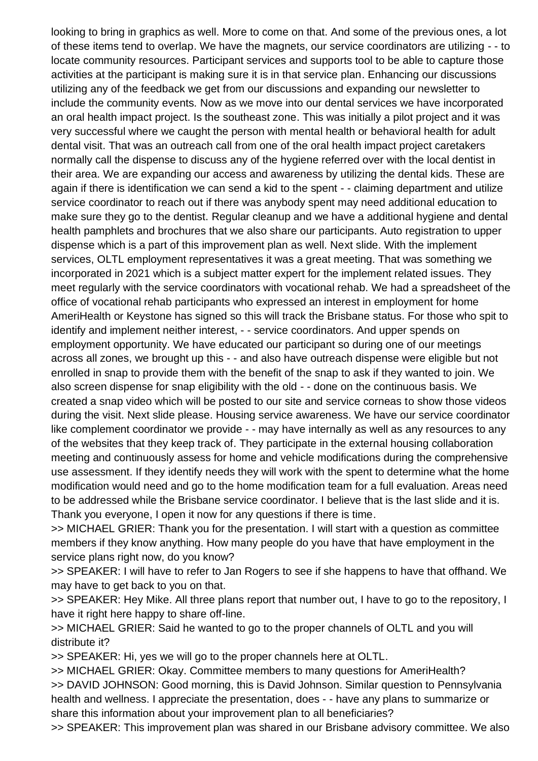looking to bring in graphics as well. More to come on that. And some of the previous ones, a lot of these items tend to overlap. We have the magnets, our service coordinators are utilizing - - to locate community resources. Participant services and supports tool to be able to capture those activities at the participant is making sure it is in that service plan. Enhancing our discussions utilizing any of the feedback we get from our discussions and expanding our newsletter to include the community events. Now as we move into our dental services we have incorporated an oral health impact project. Is the southeast zone. This was initially a pilot project and it was very successful where we caught the person with mental health or behavioral health for adult dental visit. That was an outreach call from one of the oral health impact project caretakers normally call the dispense to discuss any of the hygiene referred over with the local dentist in their area. We are expanding our access and awareness by utilizing the dental kids. These are again if there is identification we can send a kid to the spent - - claiming department and utilize service coordinator to reach out if there was anybody spent may need additional education to make sure they go to the dentist. Regular cleanup and we have a additional hygiene and dental health pamphlets and brochures that we also share our participants. Auto registration to upper dispense which is a part of this improvement plan as well. Next slide. With the implement services, OLTL employment representatives it was a great meeting. That was something we incorporated in 2021 which is a subject matter expert for the implement related issues. They meet regularly with the service coordinators with vocational rehab. We had a spreadsheet of the office of vocational rehab participants who expressed an interest in employment for home AmeriHealth or Keystone has signed so this will track the Brisbane status. For those who spit to identify and implement neither interest, - - service coordinators. And upper spends on employment opportunity. We have educated our participant so during one of our meetings across all zones, we brought up this - - and also have outreach dispense were eligible but not enrolled in snap to provide them with the benefit of the snap to ask if they wanted to join. We also screen dispense for snap eligibility with the old - - done on the continuous basis. We created a snap video which will be posted to our site and service corneas to show those videos during the visit. Next slide please. Housing service awareness. We have our service coordinator like complement coordinator we provide - - may have internally as well as any resources to any of the websites that they keep track of. They participate in the external housing collaboration meeting and continuously assess for home and vehicle modifications during the comprehensive use assessment. If they identify needs they will work with the spent to determine what the home modification would need and go to the home modification team for a full evaluation. Areas need to be addressed while the Brisbane service coordinator. I believe that is the last slide and it is. Thank you everyone, I open it now for any questions if there is time.

>> MICHAEL GRIER: Thank you for the presentation. I will start with a question as committee members if they know anything. How many people do you have that have employment in the service plans right now, do you know?

>> SPEAKER: I will have to refer to Jan Rogers to see if she happens to have that offhand. We may have to get back to you on that.

>> SPEAKER: Hey Mike. All three plans report that number out, I have to go to the repository, I have it right here happy to share off-line.

>> MICHAEL GRIER: Said he wanted to go to the proper channels of OLTL and you will distribute it?

>> SPEAKER: Hi, yes we will go to the proper channels here at OLTL.

>> MICHAEL GRIER: Okay. Committee members to many questions for AmeriHealth? >> DAVID JOHNSON: Good morning, this is David Johnson. Similar question to Pennsylvania health and wellness. I appreciate the presentation, does - - have any plans to summarize or share this information about your improvement plan to all beneficiaries?

>> SPEAKER: This improvement plan was shared in our Brisbane advisory committee. We also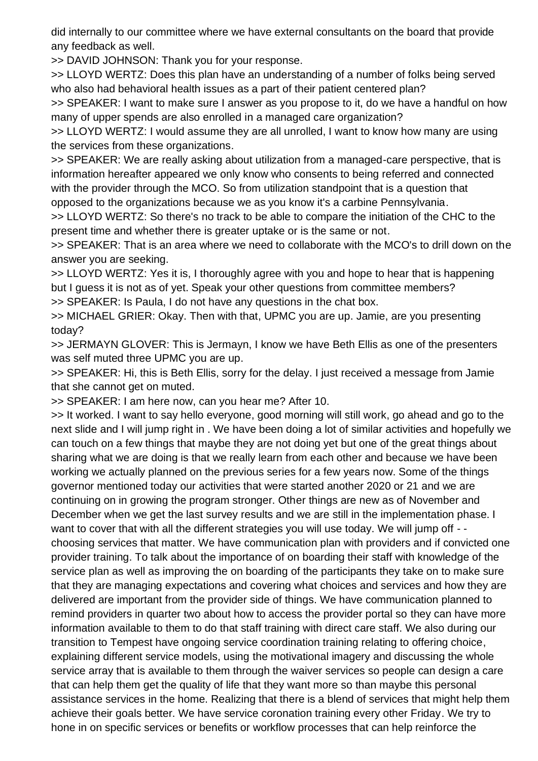did internally to our committee where we have external consultants on the board that provide any feedback as well.

>> DAVID JOHNSON: Thank you for your response.

>> LLOYD WERTZ: Does this plan have an understanding of a number of folks being served who also had behavioral health issues as a part of their patient centered plan?

>> SPEAKER: I want to make sure I answer as you propose to it, do we have a handful on how many of upper spends are also enrolled in a managed care organization?

>> LLOYD WERTZ: I would assume they are all unrolled, I want to know how many are using the services from these organizations.

>> SPEAKER: We are really asking about utilization from a managed-care perspective, that is information hereafter appeared we only know who consents to being referred and connected with the provider through the MCO. So from utilization standpoint that is a question that opposed to the organizations because we as you know it's a carbine Pennsylvania.

>> LLOYD WERTZ: So there's no track to be able to compare the initiation of the CHC to the present time and whether there is greater uptake or is the same or not.

>> SPEAKER: That is an area where we need to collaborate with the MCO's to drill down on the answer you are seeking.

>> LLOYD WERTZ: Yes it is, I thoroughly agree with you and hope to hear that is happening but I guess it is not as of yet. Speak your other questions from committee members?

>> SPEAKER: Is Paula, I do not have any questions in the chat box.

>> MICHAEL GRIER: Okay. Then with that, UPMC you are up. Jamie, are you presenting today?

>> JERMAYN GLOVER: This is Jermayn, I know we have Beth Ellis as one of the presenters was self muted three UPMC you are up.

>> SPEAKER: Hi, this is Beth Ellis, sorry for the delay. I just received a message from Jamie that she cannot get on muted.

>> SPEAKER: I am here now, can you hear me? After 10.

>> It worked. I want to say hello everyone, good morning will still work, go ahead and go to the next slide and I will jump right in . We have been doing a lot of similar activities and hopefully we can touch on a few things that maybe they are not doing yet but one of the great things about sharing what we are doing is that we really learn from each other and because we have been working we actually planned on the previous series for a few years now. Some of the things governor mentioned today our activities that were started another 2020 or 21 and we are continuing on in growing the program stronger. Other things are new as of November and December when we get the last survey results and we are still in the implementation phase. I want to cover that with all the different strategies you will use today. We will jump off -choosing services that matter. We have communication plan with providers and if convicted one provider training. To talk about the importance of on boarding their staff with knowledge of the service plan as well as improving the on boarding of the participants they take on to make sure that they are managing expectations and covering what choices and services and how they are delivered are important from the provider side of things. We have communication planned to remind providers in quarter two about how to access the provider portal so they can have more information available to them to do that staff training with direct care staff. We also during our transition to Tempest have ongoing service coordination training relating to offering choice, explaining different service models, using the motivational imagery and discussing the whole service array that is available to them through the waiver services so people can design a care that can help them get the quality of life that they want more so than maybe this personal assistance services in the home. Realizing that there is a blend of services that might help them achieve their goals better. We have service coronation training every other Friday. We try to hone in on specific services or benefits or workflow processes that can help reinforce the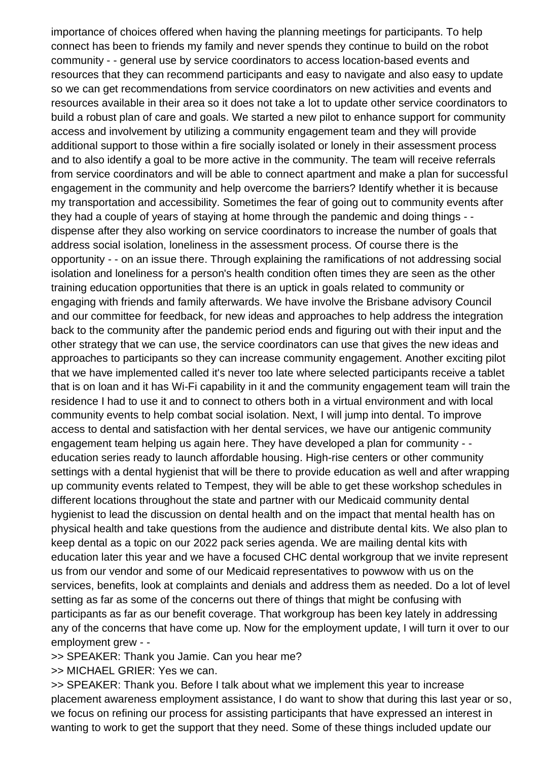importance of choices offered when having the planning meetings for participants. To help connect has been to friends my family and never spends they continue to build on the robot community - - general use by service coordinators to access location-based events and resources that they can recommend participants and easy to navigate and also easy to update so we can get recommendations from service coordinators on new activities and events and resources available in their area so it does not take a lot to update other service coordinators to build a robust plan of care and goals. We started a new pilot to enhance support for community access and involvement by utilizing a community engagement team and they will provide additional support to those within a fire socially isolated or lonely in their assessment process and to also identify a goal to be more active in the community. The team will receive referrals from service coordinators and will be able to connect apartment and make a plan for successful engagement in the community and help overcome the barriers? Identify whether it is because my transportation and accessibility. Sometimes the fear of going out to community events after they had a couple of years of staying at home through the pandemic and doing things - dispense after they also working on service coordinators to increase the number of goals that address social isolation, loneliness in the assessment process. Of course there is the opportunity - - on an issue there. Through explaining the ramifications of not addressing social isolation and loneliness for a person's health condition often times they are seen as the other training education opportunities that there is an uptick in goals related to community or engaging with friends and family afterwards. We have involve the Brisbane advisory Council and our committee for feedback, for new ideas and approaches to help address the integration back to the community after the pandemic period ends and figuring out with their input and the other strategy that we can use, the service coordinators can use that gives the new ideas and approaches to participants so they can increase community engagement. Another exciting pilot that we have implemented called it's never too late where selected participants receive a tablet that is on loan and it has Wi-Fi capability in it and the community engagement team will train the residence I had to use it and to connect to others both in a virtual environment and with local community events to help combat social isolation. Next, I will jump into dental. To improve access to dental and satisfaction with her dental services, we have our antigenic community engagement team helping us again here. They have developed a plan for community - education series ready to launch affordable housing. High-rise centers or other community settings with a dental hygienist that will be there to provide education as well and after wrapping up community events related to Tempest, they will be able to get these workshop schedules in different locations throughout the state and partner with our Medicaid community dental hygienist to lead the discussion on dental health and on the impact that mental health has on physical health and take questions from the audience and distribute dental kits. We also plan to keep dental as a topic on our 2022 pack series agenda. We are mailing dental kits with education later this year and we have a focused CHC dental workgroup that we invite represent us from our vendor and some of our Medicaid representatives to powwow with us on the services, benefits, look at complaints and denials and address them as needed. Do a lot of level setting as far as some of the concerns out there of things that might be confusing with participants as far as our benefit coverage. That workgroup has been key lately in addressing any of the concerns that have come up. Now for the employment update, I will turn it over to our employment grew - -

>> SPEAKER: Thank you Jamie. Can you hear me?

>> MICHAEL GRIER: Yes we can.

>> SPEAKER: Thank you. Before I talk about what we implement this year to increase placement awareness employment assistance, I do want to show that during this last year or so, we focus on refining our process for assisting participants that have expressed an interest in wanting to work to get the support that they need. Some of these things included update our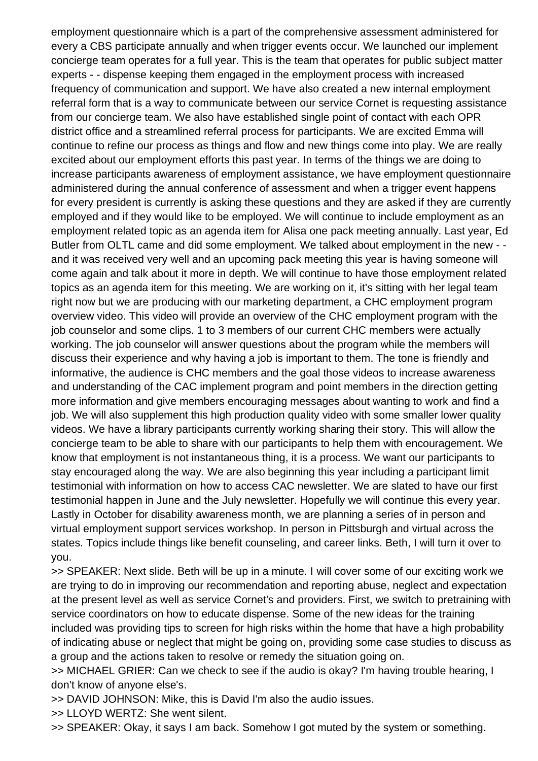employment questionnaire which is a part of the comprehensive assessment administered for every a CBS participate annually and when trigger events occur. We launched our implement concierge team operates for a full year. This is the team that operates for public subject matter experts - - dispense keeping them engaged in the employment process with increased frequency of communication and support. We have also created a new internal employment referral form that is a way to communicate between our service Cornet is requesting assistance from our concierge team. We also have established single point of contact with each OPR district office and a streamlined referral process for participants. We are excited Emma will continue to refine our process as things and flow and new things come into play. We are really excited about our employment efforts this past year. In terms of the things we are doing to increase participants awareness of employment assistance, we have employment questionnaire administered during the annual conference of assessment and when a trigger event happens for every president is currently is asking these questions and they are asked if they are currently employed and if they would like to be employed. We will continue to include employment as an employment related topic as an agenda item for Alisa one pack meeting annually. Last year, Ed Butler from OLTL came and did some employment. We talked about employment in the new - and it was received very well and an upcoming pack meeting this year is having someone will come again and talk about it more in depth. We will continue to have those employment related topics as an agenda item for this meeting. We are working on it, it's sitting with her legal team right now but we are producing with our marketing department, a CHC employment program overview video. This video will provide an overview of the CHC employment program with the job counselor and some clips. 1 to 3 members of our current CHC members were actually working. The job counselor will answer questions about the program while the members will discuss their experience and why having a job is important to them. The tone is friendly and informative, the audience is CHC members and the goal those videos to increase awareness and understanding of the CAC implement program and point members in the direction getting more information and give members encouraging messages about wanting to work and find a job. We will also supplement this high production quality video with some smaller lower quality videos. We have a library participants currently working sharing their story. This will allow the concierge team to be able to share with our participants to help them with encouragement. We know that employment is not instantaneous thing, it is a process. We want our participants to stay encouraged along the way. We are also beginning this year including a participant limit testimonial with information on how to access CAC newsletter. We are slated to have our first testimonial happen in June and the July newsletter. Hopefully we will continue this every year. Lastly in October for disability awareness month, we are planning a series of in person and virtual employment support services workshop. In person in Pittsburgh and virtual across the states. Topics include things like benefit counseling, and career links. Beth, I will turn it over to you.

>> SPEAKER: Next slide. Beth will be up in a minute. I will cover some of our exciting work we are trying to do in improving our recommendation and reporting abuse, neglect and expectation at the present level as well as service Cornet's and providers. First, we switch to pretraining with service coordinators on how to educate dispense. Some of the new ideas for the training included was providing tips to screen for high risks within the home that have a high probability of indicating abuse or neglect that might be going on, providing some case studies to discuss as a group and the actions taken to resolve or remedy the situation going on.

>> MICHAEL GRIER: Can we check to see if the audio is okay? I'm having trouble hearing, I don't know of anyone else's.

>> DAVID JOHNSON: Mike, this is David I'm also the audio issues.

>> LLOYD WERTZ: She went silent.

>> SPEAKER: Okay, it says I am back. Somehow I got muted by the system or something.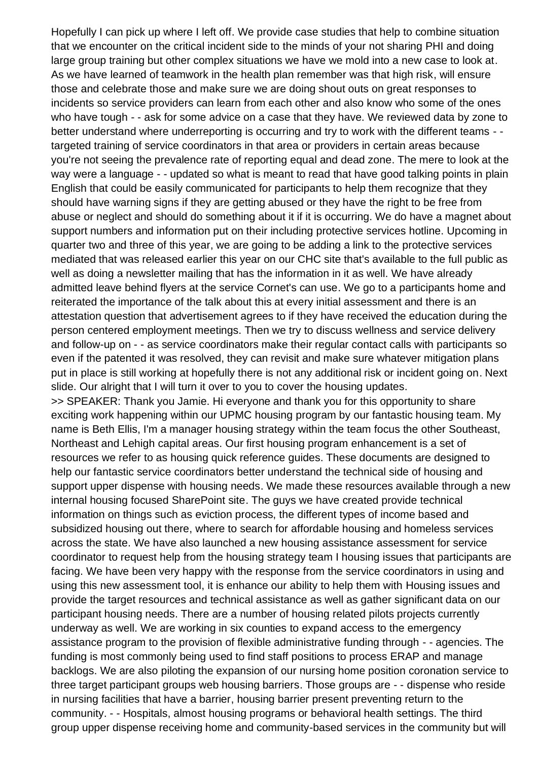Hopefully I can pick up where I left off. We provide case studies that help to combine situation that we encounter on the critical incident side to the minds of your not sharing PHI and doing large group training but other complex situations we have we mold into a new case to look at. As we have learned of teamwork in the health plan remember was that high risk, will ensure those and celebrate those and make sure we are doing shout outs on great responses to incidents so service providers can learn from each other and also know who some of the ones who have tough - - ask for some advice on a case that they have. We reviewed data by zone to better understand where underreporting is occurring and try to work with the different teams - targeted training of service coordinators in that area or providers in certain areas because you're not seeing the prevalence rate of reporting equal and dead zone. The mere to look at the way were a language - - updated so what is meant to read that have good talking points in plain English that could be easily communicated for participants to help them recognize that they should have warning signs if they are getting abused or they have the right to be free from abuse or neglect and should do something about it if it is occurring. We do have a magnet about support numbers and information put on their including protective services hotline. Upcoming in quarter two and three of this year, we are going to be adding a link to the protective services mediated that was released earlier this year on our CHC site that's available to the full public as well as doing a newsletter mailing that has the information in it as well. We have already admitted leave behind flyers at the service Cornet's can use. We go to a participants home and reiterated the importance of the talk about this at every initial assessment and there is an attestation question that advertisement agrees to if they have received the education during the person centered employment meetings. Then we try to discuss wellness and service delivery and follow-up on - - as service coordinators make their regular contact calls with participants so even if the patented it was resolved, they can revisit and make sure whatever mitigation plans put in place is still working at hopefully there is not any additional risk or incident going on. Next slide. Our alright that I will turn it over to you to cover the housing updates. >> SPEAKER: Thank you Jamie. Hi everyone and thank you for this opportunity to share exciting work happening within our UPMC housing program by our fantastic housing team. My name is Beth Ellis, I'm a manager housing strategy within the team focus the other Southeast, Northeast and Lehigh capital areas. Our first housing program enhancement is a set of resources we refer to as housing quick reference guides. These documents are designed to help our fantastic service coordinators better understand the technical side of housing and support upper dispense with housing needs. We made these resources available through a new internal housing focused SharePoint site. The guys we have created provide technical information on things such as eviction process, the different types of income based and subsidized housing out there, where to search for affordable housing and homeless services across the state. We have also launched a new housing assistance assessment for service coordinator to request help from the housing strategy team I housing issues that participants are facing. We have been very happy with the response from the service coordinators in using and using this new assessment tool, it is enhance our ability to help them with Housing issues and provide the target resources and technical assistance as well as gather significant data on our participant housing needs. There are a number of housing related pilots projects currently underway as well. We are working in six counties to expand access to the emergency assistance program to the provision of flexible administrative funding through - - agencies. The funding is most commonly being used to find staff positions to process ERAP and manage backlogs. We are also piloting the expansion of our nursing home position coronation service to three target participant groups web housing barriers. Those groups are - - dispense who reside in nursing facilities that have a barrier, housing barrier present preventing return to the community. - - Hospitals, almost housing programs or behavioral health settings. The third group upper dispense receiving home and community-based services in the community but will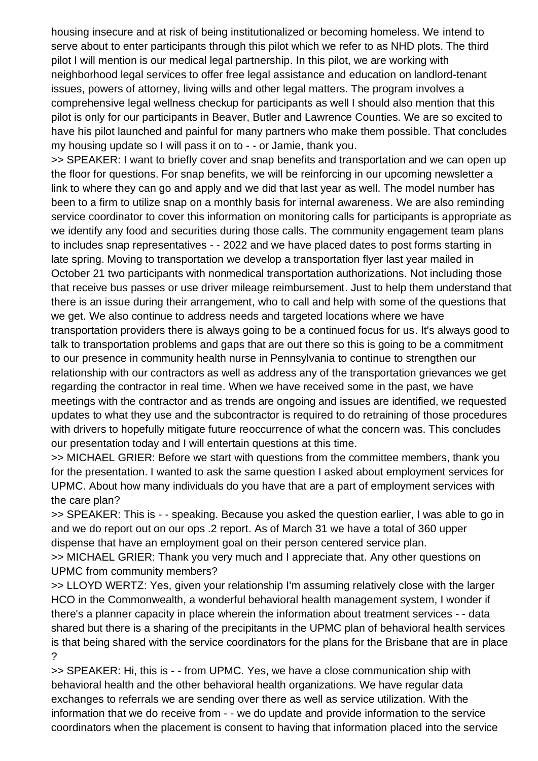housing insecure and at risk of being institutionalized or becoming homeless. We intend to serve about to enter participants through this pilot which we refer to as NHD plots. The third pilot I will mention is our medical legal partnership. In this pilot, we are working with neighborhood legal services to offer free legal assistance and education on landlord-tenant issues, powers of attorney, living wills and other legal matters. The program involves a comprehensive legal wellness checkup for participants as well I should also mention that this pilot is only for our participants in Beaver, Butler and Lawrence Counties. We are so excited to have his pilot launched and painful for many partners who make them possible. That concludes my housing update so I will pass it on to - - or Jamie, thank you.

>> SPEAKER: I want to briefly cover and snap benefits and transportation and we can open up the floor for questions. For snap benefits, we will be reinforcing in our upcoming newsletter a link to where they can go and apply and we did that last year as well. The model number has been to a firm to utilize snap on a monthly basis for internal awareness. We are also reminding service coordinator to cover this information on monitoring calls for participants is appropriate as we identify any food and securities during those calls. The community engagement team plans to includes snap representatives - - 2022 and we have placed dates to post forms starting in late spring. Moving to transportation we develop a transportation flyer last year mailed in October 21 two participants with nonmedical transportation authorizations. Not including those that receive bus passes or use driver mileage reimbursement. Just to help them understand that there is an issue during their arrangement, who to call and help with some of the questions that we get. We also continue to address needs and targeted locations where we have transportation providers there is always going to be a continued focus for us. It's always good to talk to transportation problems and gaps that are out there so this is going to be a commitment to our presence in community health nurse in Pennsylvania to continue to strengthen our relationship with our contractors as well as address any of the transportation grievances we get regarding the contractor in real time. When we have received some in the past, we have meetings with the contractor and as trends are ongoing and issues are identified, we requested updates to what they use and the subcontractor is required to do retraining of those procedures with drivers to hopefully mitigate future reoccurrence of what the concern was. This concludes our presentation today and I will entertain questions at this time.

>> MICHAEL GRIER: Before we start with questions from the committee members, thank you for the presentation. I wanted to ask the same question I asked about employment services for UPMC. About how many individuals do you have that are a part of employment services with the care plan?

>> SPEAKER: This is - - speaking. Because you asked the question earlier, I was able to go in and we do report out on our ops .2 report. As of March 31 we have a total of 360 upper dispense that have an employment goal on their person centered service plan.

>> MICHAEL GRIER: Thank you very much and I appreciate that. Any other questions on UPMC from community members?

>> LLOYD WERTZ: Yes, given your relationship I'm assuming relatively close with the larger HCO in the Commonwealth, a wonderful behavioral health management system, I wonder if there's a planner capacity in place wherein the information about treatment services - - data shared but there is a sharing of the precipitants in the UPMC plan of behavioral health services is that being shared with the service coordinators for the plans for the Brisbane that are in place ?

>> SPEAKER: Hi, this is - - from UPMC. Yes, we have a close communication ship with behavioral health and the other behavioral health organizations. We have regular data exchanges to referrals we are sending over there as well as service utilization. With the information that we do receive from - - we do update and provide information to the service coordinators when the placement is consent to having that information placed into the service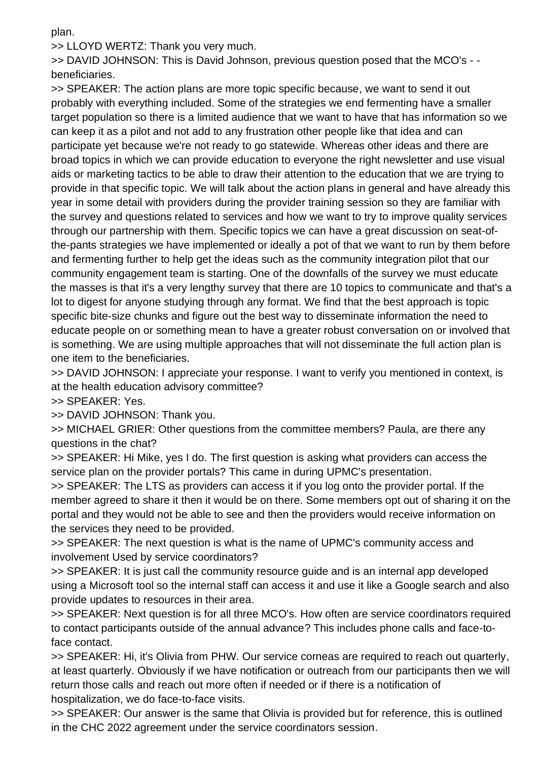plan.

>> LLOYD WERTZ: Thank you very much.

>> DAVID JOHNSON: This is David Johnson, previous question posed that the MCO's - beneficiaries.

>> SPEAKER: The action plans are more topic specific because, we want to send it out probably with everything included. Some of the strategies we end fermenting have a smaller target population so there is a limited audience that we want to have that has information so we can keep it as a pilot and not add to any frustration other people like that idea and can participate yet because we're not ready to go statewide. Whereas other ideas and there are broad topics in which we can provide education to everyone the right newsletter and use visual aids or marketing tactics to be able to draw their attention to the education that we are trying to provide in that specific topic. We will talk about the action plans in general and have already this year in some detail with providers during the provider training session so they are familiar with the survey and questions related to services and how we want to try to improve quality services through our partnership with them. Specific topics we can have a great discussion on seat-ofthe-pants strategies we have implemented or ideally a pot of that we want to run by them before and fermenting further to help get the ideas such as the community integration pilot that our community engagement team is starting. One of the downfalls of the survey we must educate the masses is that it's a very lengthy survey that there are 10 topics to communicate and that's a lot to digest for anyone studying through any format. We find that the best approach is topic specific bite-size chunks and figure out the best way to disseminate information the need to educate people on or something mean to have a greater robust conversation on or involved that is something. We are using multiple approaches that will not disseminate the full action plan is one item to the beneficiaries.

>> DAVID JOHNSON: I appreciate your response. I want to verify you mentioned in context, is at the health education advisory committee?

>> SPEAKER: Yes.

>> DAVID JOHNSON: Thank you.

>> MICHAEL GRIER: Other questions from the committee members? Paula, are there any questions in the chat?

>> SPEAKER: Hi Mike, yes I do. The first question is asking what providers can access the service plan on the provider portals? This came in during UPMC's presentation.

>> SPEAKER: The LTS as providers can access it if you log onto the provider portal. If the member agreed to share it then it would be on there. Some members opt out of sharing it on the portal and they would not be able to see and then the providers would receive information on the services they need to be provided.

>> SPEAKER: The next question is what is the name of UPMC's community access and involvement Used by service coordinators?

>> SPEAKER: It is just call the community resource guide and is an internal app developed using a Microsoft tool so the internal staff can access it and use it like a Google search and also provide updates to resources in their area.

>> SPEAKER: Next question is for all three MCO's. How often are service coordinators required to contact participants outside of the annual advance? This includes phone calls and face-toface contact.

>> SPEAKER: Hi, it's Olivia from PHW. Our service corneas are required to reach out quarterly, at least quarterly. Obviously if we have notification or outreach from our participants then we will return those calls and reach out more often if needed or if there is a notification of hospitalization, we do face-to-face visits.

>> SPEAKER: Our answer is the same that Olivia is provided but for reference, this is outlined in the CHC 2022 agreement under the service coordinators session.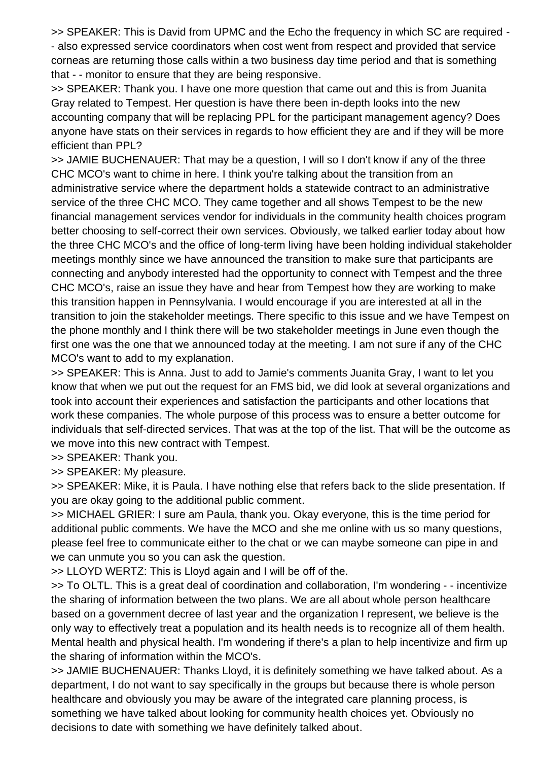>> SPEAKER: This is David from UPMC and the Echo the frequency in which SC are required - - also expressed service coordinators when cost went from respect and provided that service corneas are returning those calls within a two business day time period and that is something that - - monitor to ensure that they are being responsive.

>> SPEAKER: Thank you. I have one more question that came out and this is from Juanita Gray related to Tempest. Her question is have there been in-depth looks into the new accounting company that will be replacing PPL for the participant management agency? Does anyone have stats on their services in regards to how efficient they are and if they will be more efficient than PPL?

>> JAMIE BUCHENAUER: That may be a question, I will so I don't know if any of the three CHC MCO's want to chime in here. I think you're talking about the transition from an administrative service where the department holds a statewide contract to an administrative service of the three CHC MCO. They came together and all shows Tempest to be the new financial management services vendor for individuals in the community health choices program better choosing to self-correct their own services. Obviously, we talked earlier today about how the three CHC MCO's and the office of long-term living have been holding individual stakeholder meetings monthly since we have announced the transition to make sure that participants are connecting and anybody interested had the opportunity to connect with Tempest and the three CHC MCO's, raise an issue they have and hear from Tempest how they are working to make this transition happen in Pennsylvania. I would encourage if you are interested at all in the transition to join the stakeholder meetings. There specific to this issue and we have Tempest on the phone monthly and I think there will be two stakeholder meetings in June even though the first one was the one that we announced today at the meeting. I am not sure if any of the CHC MCO's want to add to my explanation.

>> SPEAKER: This is Anna. Just to add to Jamie's comments Juanita Gray, I want to let you know that when we put out the request for an FMS bid, we did look at several organizations and took into account their experiences and satisfaction the participants and other locations that work these companies. The whole purpose of this process was to ensure a better outcome for individuals that self-directed services. That was at the top of the list. That will be the outcome as we move into this new contract with Tempest.

>> SPEAKER: Thank you.

>> SPEAKER: My pleasure.

>> SPEAKER: Mike, it is Paula. I have nothing else that refers back to the slide presentation. If you are okay going to the additional public comment.

>> MICHAEL GRIER: I sure am Paula, thank you. Okay everyone, this is the time period for additional public comments. We have the MCO and she me online with us so many questions, please feel free to communicate either to the chat or we can maybe someone can pipe in and we can unmute you so you can ask the question.

>> LLOYD WERTZ: This is Lloyd again and I will be off of the.

>> To OLTL. This is a great deal of coordination and collaboration, I'm wondering - - incentivize the sharing of information between the two plans. We are all about whole person healthcare based on a government decree of last year and the organization I represent, we believe is the only way to effectively treat a population and its health needs is to recognize all of them health. Mental health and physical health. I'm wondering if there's a plan to help incentivize and firm up the sharing of information within the MCO's.

>> JAMIE BUCHENAUER: Thanks Lloyd, it is definitely something we have talked about. As a department, I do not want to say specifically in the groups but because there is whole person healthcare and obviously you may be aware of the integrated care planning process, is something we have talked about looking for community health choices yet. Obviously no decisions to date with something we have definitely talked about.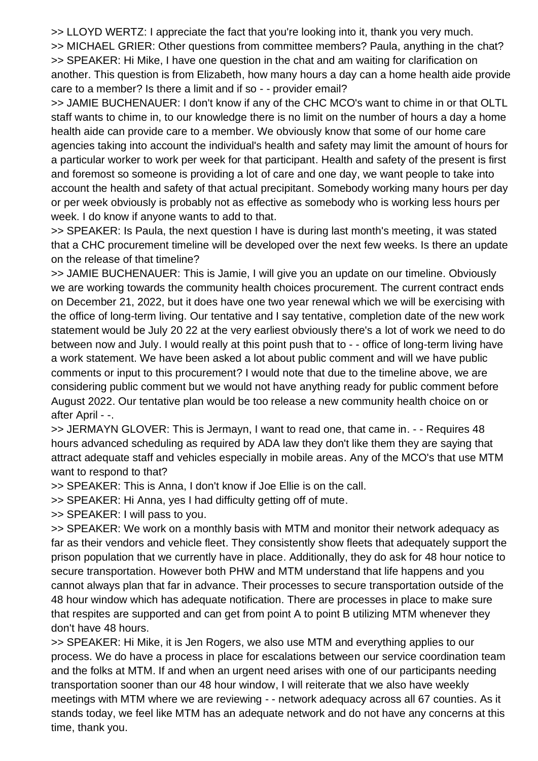>> LLOYD WERTZ: I appreciate the fact that you're looking into it, thank you very much. >> MICHAEL GRIER: Other questions from committee members? Paula, anything in the chat? >> SPEAKER: Hi Mike, I have one question in the chat and am waiting for clarification on another. This question is from Elizabeth, how many hours a day can a home health aide provide care to a member? Is there a limit and if so - - provider email?

>> JAMIE BUCHENAUER: I don't know if any of the CHC MCO's want to chime in or that OLTL staff wants to chime in, to our knowledge there is no limit on the number of hours a day a home health aide can provide care to a member. We obviously know that some of our home care agencies taking into account the individual's health and safety may limit the amount of hours for a particular worker to work per week for that participant. Health and safety of the present is first and foremost so someone is providing a lot of care and one day, we want people to take into account the health and safety of that actual precipitant. Somebody working many hours per day or per week obviously is probably not as effective as somebody who is working less hours per week. I do know if anyone wants to add to that.

>> SPEAKER: Is Paula, the next question I have is during last month's meeting, it was stated that a CHC procurement timeline will be developed over the next few weeks. Is there an update on the release of that timeline?

>> JAMIE BUCHENAUER: This is Jamie, I will give you an update on our timeline. Obviously we are working towards the community health choices procurement. The current contract ends on December 21, 2022, but it does have one two year renewal which we will be exercising with the office of long-term living. Our tentative and I say tentative, completion date of the new work statement would be July 20 22 at the very earliest obviously there's a lot of work we need to do between now and July. I would really at this point push that to - - office of long-term living have a work statement. We have been asked a lot about public comment and will we have public comments or input to this procurement? I would note that due to the timeline above, we are considering public comment but we would not have anything ready for public comment before August 2022. Our tentative plan would be too release a new community health choice on or after April - -.

>> JERMAYN GLOVER: This is Jermayn, I want to read one, that came in. - - Requires 48 hours advanced scheduling as required by ADA law they don't like them they are saying that attract adequate staff and vehicles especially in mobile areas. Any of the MCO's that use MTM want to respond to that?

>> SPEAKER: This is Anna, I don't know if Joe Ellie is on the call.

>> SPEAKER: Hi Anna, yes I had difficulty getting off of mute.

>> SPEAKER: I will pass to you.

>> SPEAKER: We work on a monthly basis with MTM and monitor their network adequacy as far as their vendors and vehicle fleet. They consistently show fleets that adequately support the prison population that we currently have in place. Additionally, they do ask for 48 hour notice to secure transportation. However both PHW and MTM understand that life happens and you cannot always plan that far in advance. Their processes to secure transportation outside of the 48 hour window which has adequate notification. There are processes in place to make sure that respites are supported and can get from point A to point B utilizing MTM whenever they don't have 48 hours.

>> SPEAKER: Hi Mike, it is Jen Rogers, we also use MTM and everything applies to our process. We do have a process in place for escalations between our service coordination team and the folks at MTM. If and when an urgent need arises with one of our participants needing transportation sooner than our 48 hour window, I will reiterate that we also have weekly meetings with MTM where we are reviewing - - network adequacy across all 67 counties. As it stands today, we feel like MTM has an adequate network and do not have any concerns at this time, thank you.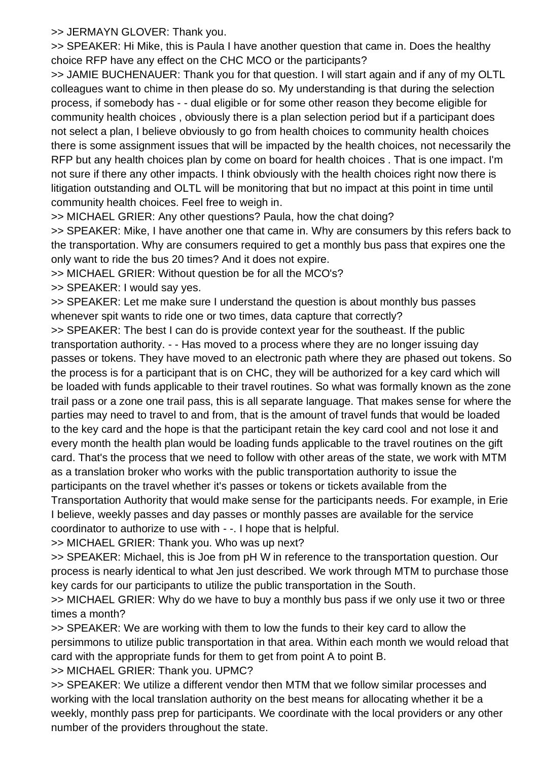>> JERMAYN GLOVER: Thank you.

>> SPEAKER: Hi Mike, this is Paula I have another question that came in. Does the healthy choice RFP have any effect on the CHC MCO or the participants?

>> JAMIE BUCHENAUER: Thank you for that question. I will start again and if any of my OLTL colleagues want to chime in then please do so. My understanding is that during the selection process, if somebody has - - dual eligible or for some other reason they become eligible for community health choices , obviously there is a plan selection period but if a participant does not select a plan, I believe obviously to go from health choices to community health choices there is some assignment issues that will be impacted by the health choices, not necessarily the RFP but any health choices plan by come on board for health choices . That is one impact. I'm not sure if there any other impacts. I think obviously with the health choices right now there is litigation outstanding and OLTL will be monitoring that but no impact at this point in time until community health choices. Feel free to weigh in.

>> MICHAEL GRIER: Any other questions? Paula, how the chat doing?

>> SPEAKER: Mike, I have another one that came in. Why are consumers by this refers back to the transportation. Why are consumers required to get a monthly bus pass that expires one the only want to ride the bus 20 times? And it does not expire.

>> MICHAEL GRIER: Without question be for all the MCO's?

>> SPEAKER: I would say yes.

>> SPEAKER: Let me make sure I understand the question is about monthly bus passes whenever spit wants to ride one or two times, data capture that correctly?

>> SPEAKER: The best I can do is provide context year for the southeast. If the public transportation authority. - - Has moved to a process where they are no longer issuing day passes or tokens. They have moved to an electronic path where they are phased out tokens. So the process is for a participant that is on CHC, they will be authorized for a key card which will be loaded with funds applicable to their travel routines. So what was formally known as the zone trail pass or a zone one trail pass, this is all separate language. That makes sense for where the parties may need to travel to and from, that is the amount of travel funds that would be loaded to the key card and the hope is that the participant retain the key card cool and not lose it and every month the health plan would be loading funds applicable to the travel routines on the gift card. That's the process that we need to follow with other areas of the state, we work with MTM as a translation broker who works with the public transportation authority to issue the participants on the travel whether it's passes or tokens or tickets available from the Transportation Authority that would make sense for the participants needs. For example, in Erie I believe, weekly passes and day passes or monthly passes are available for the service

coordinator to authorize to use with - -. I hope that is helpful.

>> MICHAEL GRIER: Thank you. Who was up next?

>> SPEAKER: Michael, this is Joe from pH W in reference to the transportation question. Our process is nearly identical to what Jen just described. We work through MTM to purchase those key cards for our participants to utilize the public transportation in the South.

>> MICHAEL GRIER: Why do we have to buy a monthly bus pass if we only use it two or three times a month?

>> SPEAKER: We are working with them to low the funds to their key card to allow the persimmons to utilize public transportation in that area. Within each month we would reload that card with the appropriate funds for them to get from point A to point B.

>> MICHAEL GRIER: Thank you. UPMC?

>> SPEAKER: We utilize a different vendor then MTM that we follow similar processes and working with the local translation authority on the best means for allocating whether it be a weekly, monthly pass prep for participants. We coordinate with the local providers or any other number of the providers throughout the state.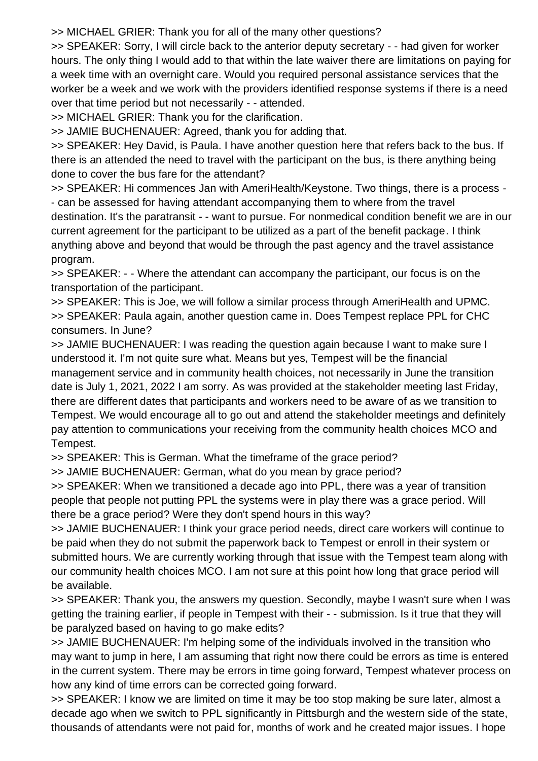>> MICHAEL GRIER: Thank you for all of the many other questions?

>> SPEAKER: Sorry, I will circle back to the anterior deputy secretary - - had given for worker hours. The only thing I would add to that within the late waiver there are limitations on paying for a week time with an overnight care. Would you required personal assistance services that the worker be a week and we work with the providers identified response systems if there is a need over that time period but not necessarily - - attended.

>> MICHAEL GRIER: Thank you for the clarification.

>> JAMIE BUCHENAUER: Agreed, thank you for adding that.

>> SPEAKER: Hey David, is Paula. I have another question here that refers back to the bus. If there is an attended the need to travel with the participant on the bus, is there anything being done to cover the bus fare for the attendant?

>> SPEAKER: Hi commences Jan with AmeriHealth/Keystone. Two things, there is a process - - can be assessed for having attendant accompanying them to where from the travel destination. It's the paratransit - - want to pursue. For nonmedical condition benefit we are in our current agreement for the participant to be utilized as a part of the benefit package. I think anything above and beyond that would be through the past agency and the travel assistance program.

>> SPEAKER: - - Where the attendant can accompany the participant, our focus is on the transportation of the participant.

>> SPEAKER: This is Joe, we will follow a similar process through AmeriHealth and UPMC. >> SPEAKER: Paula again, another question came in. Does Tempest replace PPL for CHC consumers. In June?

>> JAMIE BUCHENAUER: I was reading the question again because I want to make sure I understood it. I'm not quite sure what. Means but yes, Tempest will be the financial management service and in community health choices, not necessarily in June the transition date is July 1, 2021, 2022 I am sorry. As was provided at the stakeholder meeting last Friday, there are different dates that participants and workers need to be aware of as we transition to Tempest. We would encourage all to go out and attend the stakeholder meetings and definitely pay attention to communications your receiving from the community health choices MCO and Tempest.

>> SPEAKER: This is German. What the timeframe of the grace period?

>> JAMIE BUCHENAUER: German, what do you mean by grace period?

>> SPEAKER: When we transitioned a decade ago into PPL, there was a year of transition people that people not putting PPL the systems were in play there was a grace period. Will there be a grace period? Were they don't spend hours in this way?

>> JAMIE BUCHENAUER: I think your grace period needs, direct care workers will continue to be paid when they do not submit the paperwork back to Tempest or enroll in their system or submitted hours. We are currently working through that issue with the Tempest team along with our community health choices MCO. I am not sure at this point how long that grace period will be available.

>> SPEAKER: Thank you, the answers my question. Secondly, maybe I wasn't sure when I was getting the training earlier, if people in Tempest with their - - submission. Is it true that they will be paralyzed based on having to go make edits?

>> JAMIE BUCHENAUER: I'm helping some of the individuals involved in the transition who may want to jump in here, I am assuming that right now there could be errors as time is entered in the current system. There may be errors in time going forward, Tempest whatever process on how any kind of time errors can be corrected going forward.

>> SPEAKER: I know we are limited on time it may be too stop making be sure later, almost a decade ago when we switch to PPL significantly in Pittsburgh and the western side of the state, thousands of attendants were not paid for, months of work and he created major issues. I hope